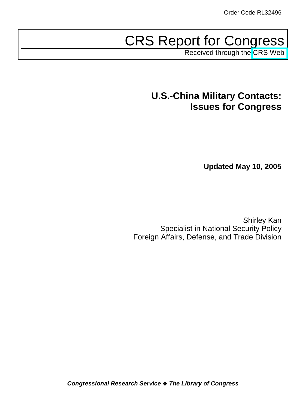# CRS Report for Congress

Received through the [CRS Web](http://www.fas.org/sgp/crs/natsec/index.html)

## **U.S.-China Military Contacts: Issues for Congress**

**Updated May 10, 2005**

Shirley Kan Specialist in National Security Policy Foreign Affairs, Defense, and Trade Division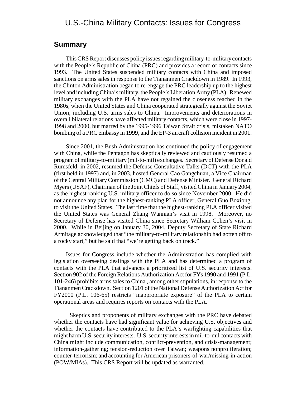## U.S.-China Military Contacts: Issues for Congress

#### **Summary**

This CRS Report discusses policy issues regarding military-to-military contacts with the People's Republic of China (PRC) and provides a record of contacts since 1993. The United States suspended military contacts with China and imposed sanctions on arms sales in response to the Tiananmen Crackdown in 1989. In 1993, the Clinton Administration began to re-engage the PRC leadership up to the highest level and including China's military, the People's Liberation Army (PLA). Renewed military exchanges with the PLA have not regained the closeness reached in the 1980s, when the United States and China cooperated strategically against the Soviet Union, including U.S. arms sales to China. Improvements and deteriorations in overall bilateral relations have affected military contacts, which were close in 1997- 1998 and 2000, but marred by the 1995-1996 Taiwan Strait crisis, mistaken NATO bombing of a PRC embassy in 1999, and the EP-3 aircraft collision incident in 2001.

Since 2001, the Bush Administration has continued the policy of engagement with China, while the Pentagon has skeptically reviewed and cautiously resumed a program of military-to-military (mil-to-mil) exchanges. Secretary of Defense Donald Rumsfeld, in 2002, resumed the Defense Consultative Talks (DCT) with the PLA (first held in 1997) and, in 2003, hosted General Cao Gangchuan, a Vice Chairman of the Central Military Commission (CMC) and Defense Minister. General Richard Myers (USAF), Chairman of the Joint Chiefs of Staff, visited China in January 2004, as the highest-ranking U.S. military officer to do so since November 2000. He did not announce any plan for the highest-ranking PLA officer, General Guo Boxiong, to visit the United States. The last time that the highest-ranking PLA officer visited the United States was General Zhang Wannian's visit in 1998. Moreover, no Secretary of Defense has visited China since Secretary William Cohen's visit in 2000. While in Beijing on January 30, 2004, Deputy Secretary of State Richard Armitage acknowledged that "the military-to-military relationship had gotten off to a rocky start," but he said that "we're getting back on track."

Issues for Congress include whether the Administration has complied with legislation overseeing dealings with the PLA and has determined a program of contacts with the PLA that advances a prioritized list of U.S. security interests. Section 902 of the Foreign Relations Authorization Act for FYs 1990 and 1991 (P.L. 101-246) prohibits arms sales to China , among other stipulations, in response to the Tiananmen Crackdown. Section 1201 of the National Defense Authorization Act for FY2000 (P.L. 106-65) restricts "inappropriate exposure" of the PLA to certain operational areas and requires reports on contacts with the PLA.

 Skeptics and proponents of military exchanges with the PRC have debated whether the contacts have had significant value for achieving U.S. objectives and whether the contacts have contributed to the PLA's warfighting capabilities that might harm U.S. security interests. U.S. security interests in mil-to-mil contacts with China might include communication, conflict-prevention, and crisis-management; information-gathering; tension-reduction over Taiwan; weapons nonproliferation; counter-terrorism; and accounting for American prisoners-of-war/missing-in-action (POW/MIAs). This CRS Report will be updated as warranted.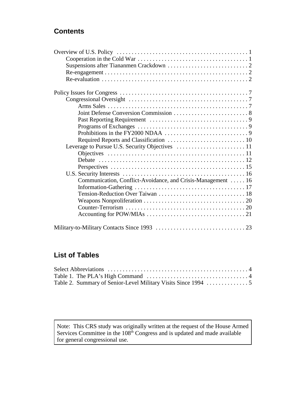## **Contents**

| Communication, Conflict-Avoidance, and Crisis-Management  16 |  |
|--------------------------------------------------------------|--|
|                                                              |  |
|                                                              |  |
|                                                              |  |
|                                                              |  |
|                                                              |  |
|                                                              |  |

## **List of Tables**

Note: This CRS study was originally written at the request of the House Armed Services Committee in the 108<sup>th</sup> Congress and is updated and made available for general congressional use.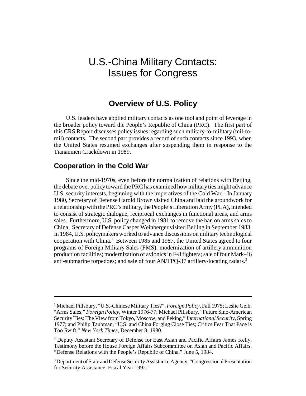## U.S.-China Military Contacts: Issues for Congress

## **Overview of U.S. Policy**

U.S. leaders have applied military contacts as one tool and point of leverage in the broader policy toward the People's Republic of China (PRC). The first part of this CRS Report discusses policy issues regarding such military-to-military (mil-tomil) contacts. The second part provides a record of such contacts since 1993, when the United States resumed exchanges after suspending them in response to the Tiananmen Crackdown in 1989.

#### **Cooperation in the Cold War**

Since the mid-1970s, even before the normalization of relations with Beijing, the debate over policy toward the PRC has examined how military ties might advance U.S. security interests, beginning with the imperatives of the Cold War.<sup>1</sup> In January 1980, Secretary of Defense Harold Brown visited China and laid the groundwork for a relationship with the PRC's military, the People's Liberation Army (PLA), intended to consist of strategic dialogue, reciprocal exchanges in functional areas, and arms sales. Furthermore, U.S. policy changed in 1981 to remove the ban on arms sales to China. Secretary of Defense Casper Weinberger visited Beijing in September 1983. In 1984, U.S. policymakers worked to advance discussions on military technological cooperation with China.<sup>2</sup> Between 1985 and 1987, the United States agreed to four programs of Foreign Military Sales (FMS): modernization of artillery ammunition production facilities; modernization of avionics in F-8 fighters; sale of four Mark-46 anti-submarine torpedoes; and sale of four AN/TPQ-37 artillery-locating radars.<sup>3</sup>

<sup>&</sup>lt;sup>1</sup> Michael Pillsbury, "U.S.-Chinese Military Ties?", *Foreign Policy*, Fall 1975; Leslie Gelb, "Arms Sales," *Foreign Policy*, Winter 1976-77; Michael Pillsbury, "Future Sino-American Security Ties: The View from Tokyo, Moscow, and Peking," *International Security*, Spring 1977; and Philip Taubman, "U.S. and China Forging Close Ties; Critics Fear That Pace is Too Swift," *New York Times*, December 8, 1980.

<sup>&</sup>lt;sup>2</sup> Deputy Assistant Secretary of Defense for East Asian and Pacific Affairs James Kelly, Testimony before the House Foreign Affairs Subcommittee on Asian and Pacific Affairs, "Defense Relations with the People's Republic of China," June 5, 1984.

<sup>&</sup>lt;sup>3</sup> Department of State and Defense Security Assistance Agency, "Congressional Presentation for Security Assistance, Fiscal Year 1992."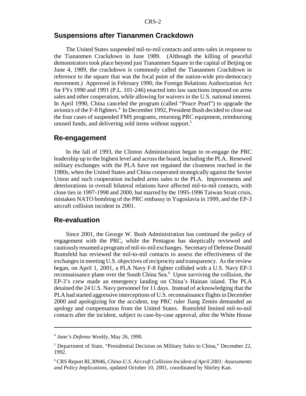### **Suspensions after Tiananmen Crackdown**

The United States suspended mil-to-mil contacts and arms sales in response to the Tiananmen Crackdown in June 1989. (Although the killing of peaceful demonstrators took place beyond just Tiananmen Square in the capital of Beijing on June 4, 1989, the crackdown is commonly called the Tiananmen Crackdown in reference to the square that was the focal point of the nation-wide pro-democracy movement.) Approved in February 1990, the Foreign Relations Authorization Act for FYs 1990 and 1991 (P.L. 101-246) enacted into law sanctions imposed on arms sales and other cooperation, while allowing for waivers in the U.S. national interest. In April 1990, China canceled the program (called "Peace Pearl") to upgrade the avionics of the F-8 fighters.<sup>4</sup> In December 1992, President Bush decided to close out the four cases of suspended FMS programs, returning PRC equipment, reimbursing unused funds, and delivering sold items without support.<sup>5</sup>

#### **Re-engagement**

In the fall of 1993, the Clinton Administration began to re-engage the PRC leadership up to the highest level and across the board, including the PLA. Renewed military exchanges with the PLA have not regained the closeness reached in the 1980s, when the United States and China cooperated strategically against the Soviet Union and such cooperation included arms sales to the PLA. Improvements and deteriorations in overall bilateral relations have affected mil-to-mil contacts, with close ties in 1997-1998 and 2000, but marred by the 1995-1996 Taiwan Strait crisis, mistaken NATO bombing of the PRC embassy in Yugoslavia in 1999, and the EP-3 aircraft collision incident in 2001.

#### **Re-evaluation**

Since 2001, the George W. Bush Administration has continued the policy of engagement with the PRC, while the Pentagon has skeptically reviewed and cautiously resumed a program of mil-to-mil exchanges. Secretary of Defense Donald Rumsfeld has reviewed the mil-to-mil contacts to assess the effectiveness of the exchanges in meeting U.S. objectives of reciprocity and transparency. As the review began, on April 1, 2001, a PLA Navy F-8 fighter collided with a U.S. Navy EP-3 reconnaissance plane over the South China Sea.<sup>6</sup> Upon surviving the collision, the EP-3's crew made an emergency landing on China's Hainan island. The PLA detained the 24 U.S. Navy personnel for 11 days. Instead of acknowledging that the PLA had started aggressive interceptions of U.S. reconnaissance flights in December 2000 and apologizing for the accident, top PRC ruler Jiang Zemin demanded an apology and compensation from the United States. Rumsfeld limited mil-to-mil contacts after the incident, subject to case-by-case approval, after the White House

<sup>4</sup> *Jane's Defense Weekly*, May 26, 1990.

<sup>&</sup>lt;sup>5</sup> Department of State, "Presidential Decision on Military Sales to China," December 22, 1992.

<sup>6</sup> CRS Report RL30946, *China-U.S. Aircraft Collision Incident of April 2001: Assessments and Policy Implications*, updated October 10, 2001, coordinated by Shirley Kan.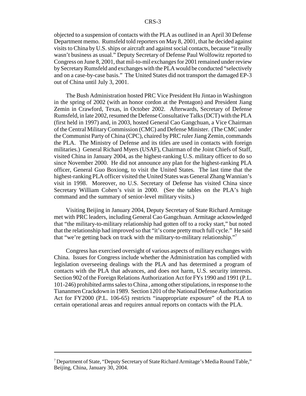objected to a suspension of contacts with the PLA as outlined in an April 30 Defense Department memo. Rumsfeld told reporters on May 8, 2001, that he decided against visits to China by U.S. ships or aircraft and against social contacts, because "it really wasn't business as usual." Deputy Secretary of Defense Paul Wolfowitz reported to Congress on June 8, 2001, that mil-to-mil exchanges for 2001 remained under review by Secretary Rumsfeld and exchanges with the PLA would be conducted "selectively and on a case-by-case basis." The United States did not transport the damaged EP-3 out of China until July 3, 2001.

The Bush Administration hosted PRC Vice President Hu Jintao in Washington in the spring of 2002 (with an honor cordon at the Pentagon) and President Jiang Zemin in Crawford, Texas, in October 2002. Afterwards, Secretary of Defense Rumsfeld, in late 2002, resumed the Defense Consultative Talks (DCT) with the PLA (first held in 1997) and, in 2003, hosted General Cao Gangchuan, a Vice Chairman of the Central Military Commission (CMC) and Defense Minister. (The CMC under the Communist Party of China (CPC), chaired by PRC ruler Jiang Zemin, commands the PLA. The Ministry of Defense and its titles are used in contacts with foreign militaries.) General Richard Myers (USAF), Chairman of the Joint Chiefs of Staff, visited China in January 2004, as the highest-ranking U.S. military officer to do so since November 2000. He did not announce any plan for the highest-ranking PLA officer, General Guo Boxiong, to visit the United States. The last time that the highest-ranking PLA officer visited the United States was General Zhang Wannian's visit in 1998. Moreover, no U.S. Secretary of Defense has visited China since Secretary William Cohen's visit in 2000. (See the tables on the PLA's high command and the summary of senior-level military visits.)

Visiting Beijing in January 2004, Deputy Secretary of State Richard Armitage met with PRC leaders, including General Cao Gangchuan. Armitage acknowledged that "the military-to-military relationship had gotten off to a rocky start," but noted that the relationship had improved so that "it's come pretty much full cycle." He said that "we're getting back on track with the military-to-military relationship."7

Congress has exercised oversight of various aspects of military exchanges with China. Issues for Congress include whether the Administration has complied with legislation overseeing dealings with the PLA and has determined a program of contacts with the PLA that advances, and does not harm, U.S. security interests. Section 902 of the Foreign Relations Authorization Act for FYs 1990 and 1991 (P.L. 101-246) prohibited arms sales to China , among other stipulations, in response to the Tiananmen Crackdown in 1989. Section 1201 of the National Defense Authorization Act for FY2000 (P.L. 106-65) restricts "inappropriate exposure" of the PLA to certain operational areas and requires annual reports on contacts with the PLA.

<sup>&</sup>lt;sup>7</sup> Department of State, "Deputy Secretary of State Richard Armitage's Media Round Table," Beijing, China, January 30, 2004.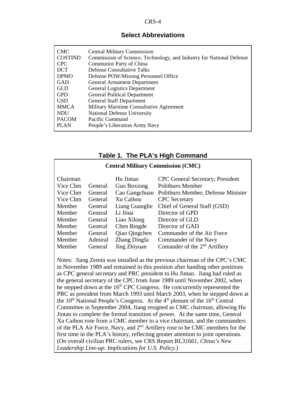#### **Select Abbreviations**

| <b>CMC</b>     | <b>Central Military Commission</b>                                   |
|----------------|----------------------------------------------------------------------|
| <b>COSTIND</b> | Commission of Science, Technology, and Industry for National Defense |
| <b>CPC</b>     | Communist Party of China                                             |
| <b>DCT</b>     | <b>Defense Consultative Talks</b>                                    |
| <b>DPMO</b>    | Defense POW/Missing Personnel Office                                 |
| <b>GAD</b>     | <b>General Armament Department</b>                                   |
| <b>GLD</b>     | <b>General Logistics Department</b>                                  |
| <b>GPD</b>     | <b>General Political Department</b>                                  |
| <b>GSD</b>     | <b>General Staff Department</b>                                      |
| <b>MMCA</b>    | Military Maritime Consultative Agreement                             |
| <b>NDU</b>     | <b>National Defense University</b>                                   |
| <b>PACOM</b>   | Pacific Command                                                      |
| <b>PLAN</b>    | People's Liberation Army Navy                                        |

#### **Table 1. The PLA's High Command**

#### **Central Military Commission (CMC)**

| Chairman |         | Hu Jintao          | <b>CPC</b> General Secretary; President |
|----------|---------|--------------------|-----------------------------------------|
| Vice Chm | General | <b>Guo Boxiong</b> | Politburo Member                        |
| Vice Chm | General | Cao Gangchuan      | Politburo Member; Defense Minister      |
| Vice Chm | General | Xu Caihou          | <b>CPC</b> Secretary                    |
| Member   | General | Liang Guanglie     | Chief of General Staff (GSD)            |
| Member   | General | Li Jinai           | Director of GPD                         |
| Member   | General | Liao Xilong        | Director of GLD                         |
| Member   | General | Chen Bingde        | Director of GAD                         |
| Member   | General | Qiao Qingchen      | Commander of the Air Force              |
| Member   | Admiral | Zhang Dingfa       | Commander of the Navy                   |
| Member   | General | Jing Zhiyuan       | Comander of the $2nd$ Artillery         |

Notes: Jiang Zemin was installed as the previous chairman of the CPC's CMC in November 1989 and remained in this position after handing other positions as CPC general secretary and PRC president to Hu Jintao. Jiang had ruled as the general secretary of the CPC from June 1989 until November 2002, when he stepped down at the  $16<sup>th</sup>$  CPC Congress. He concurrently represented the PRC as president from March 1993 until March 2003, when he stepped down at the  $10<sup>th</sup>$  National People's Congress. At the  $4<sup>th</sup>$  plenum of the  $16<sup>th</sup>$  Central Committee in September 2004, Jiang resigned as CMC chairman, allowing Hu Jintao to complete the formal transition of power. At the same time, General Xu Caihou rose from a CMC member to a vice chairman, and the commanders of the PLA Air Force, Navy, and 2nd Artillery rose to be CMC members for the first time in the PLA's history, reflecting greater attention to joint operations. (On overall civilian PRC rulers, see CRS Report RL31661, *China's New Leadership Line-up: Implications for U.S. Policy*.)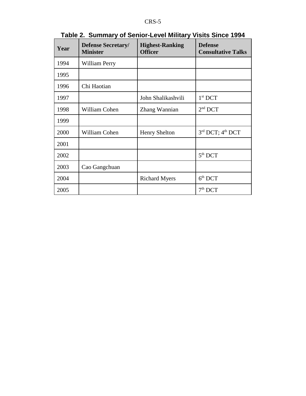| Year | <b>Defense Secretary/</b><br><b>Minister</b> | <b>Highest-Ranking</b><br><b>Officer</b> | <b>Defense</b><br><b>Consultative Talks</b> |
|------|----------------------------------------------|------------------------------------------|---------------------------------------------|
| 1994 | William Perry                                |                                          |                                             |
| 1995 |                                              |                                          |                                             |
| 1996 | Chi Haotian                                  |                                          |                                             |
| 1997 |                                              | John Shalikashvili                       | $1st$ DCT                                   |
| 1998 | William Cohen                                | Zhang Wannian                            | $2nd$ DCT                                   |
| 1999 |                                              |                                          |                                             |
| 2000 | William Cohen                                | <b>Henry Shelton</b>                     | 3rd DCT; 4th DCT                            |
| 2001 |                                              |                                          |                                             |
| 2002 |                                              |                                          | 5 <sup>th</sup> DCT                         |
| 2003 | Cao Gangchuan                                |                                          |                                             |
| 2004 |                                              | <b>Richard Myers</b>                     | $6th$ DCT                                   |
| 2005 |                                              |                                          | $7th$ DCT                                   |

## **Table 2. Summary of Senior-Level Military Visits Since 1994**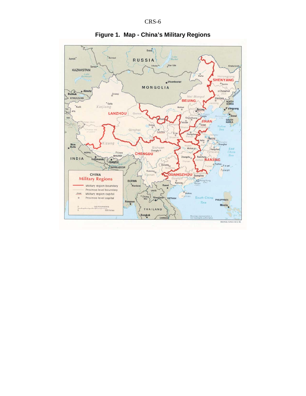

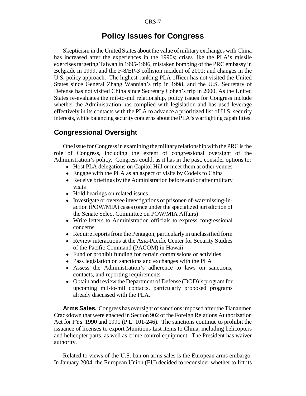## **Policy Issues for Congress**

Skepticism in the United States about the value of military exchanges with China has increased after the experiences in the 1990s; crises like the PLA's missile exercises targeting Taiwan in 1995-1996, mistaken bombing of the PRC embassy in Belgrade in 1999, and the F-8/EP-3 collision incident of 2001; and changes in the U.S. policy approach. The highest-ranking PLA officer has not visited the United States since General Zhang Wannian's trip in 1998, and the U.S. Secretary of Defense has not visited China since Secretary Cohen's trip in 2000. As the United States re-evaluates the mil-to-mil relationship, policy issues for Congress include whether the Administration has complied with legislation and has used leverage effectively in its contacts with the PLA to advance a prioritized list of U.S. security interests, while balancing security concerns about the PLA's warfighting capabilities.

#### **Congressional Oversight**

One issue for Congress in examining the military relationship with the PRC is the role of Congress, including the extent of congressional oversight of the Administration's policy. Congress could, as it has in the past, consider options to:

- Host PLA delegations on Capitol Hill or meet them at other venues
- Engage with the PLA as an aspect of visits by Codels to China
- Receive briefings by the Administration before and/or after military visits
- Hold hearings on related issues
- ! Investigate or oversee investigations of prisoner-of-war/missing-inaction (POW/MIA) cases (once under the specialized jurisdiction of the Senate Select Committee on POW/MIA Affairs)
- Write letters to Administration officials to express congressional concerns
- Require reports from the Pentagon, particularly in unclassified form
- Review interactions at the Asia-Pacific Center for Security Studies of the Pacific Command (PACOM) in Hawaii
- Fund or prohibit funding for certain commissions or activities
- Pass legislation on sanctions and exchanges with the PLA
- ! Assess the Administration's adherence to laws on sanctions, contacts, and reporting requirements
- Obtain and review the Department of Defense (DOD)'s program for upcoming mil-to-mil contacts, particularly proposed programs already discussed with the PLA.

**Arms Sales.** Congress has oversight of sanctions imposed after the Tiananmen Crackdown that were enacted in Section 902 of the Foreign Relations Authorization Act for FYs 1990 and 1991 (P.L. 101-246). The sanctions continue to prohibit the issuance of licenses to export Munitions List items to China, including helicopters and helicopter parts, as well as crime control equipment. The President has waiver authority.

Related to views of the U.S. ban on arms sales is the European arms embargo. In January 2004, the European Union (EU) decided to reconsider whether to lift its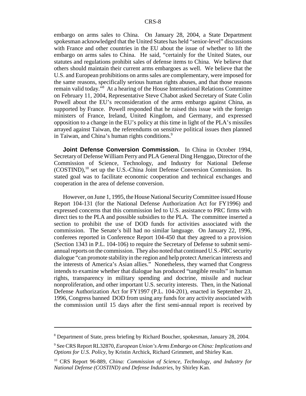embargo on arms sales to China. On January 28, 2004, a State Department spokesman acknowledged that the United States has held "senior-level" discussions with France and other countries in the EU about the issue of whether to lift the embargo on arms sales to China. He said, "certainly for the United States, our statutes and regulations prohibit sales of defense items to China. We believe that others should maintain their current arms embargoes as well. We believe that the U.S. and European prohibitions on arms sales are complementary, were imposed for the same reasons, specifically serious human rights abuses, and that those reasons remain valid today."8 At a hearing of the House International Relations Committee on February 11, 2004, Representative Steve Chabot asked Secretary of State Colin Powell about the EU's reconsideration of the arms embargo against China, as supported by France. Powell responded that he raised this issue with the foreign ministers of France, Ireland, United Kingdom, and Germany, and expressed opposition to a change in the EU's policy at this time in light of the PLA's missiles arrayed against Taiwan, the referendums on sensitive political issues then planned in Taiwan, and China's human rights conditions.<sup>9</sup>

**Joint Defense Conversion Commission.** In China in October 1994, Secretary of Defense William Perry and PLA General Ding Henggao, Director of the Commission of Science, Technology, and Industry for National Defense  $(COSTIND)$ ,<sup>10</sup> set up the U.S.-China Joint Defense Conversion Commission. Its stated goal was to facilitate economic cooperation and technical exchanges and cooperation in the area of defense conversion.

However, on June 1, 1995, the House National Security Committee issued House Report 104-131 (for the National Defense Authorization Act for FY1996) and expressed concerns that this commission led to U.S. assistance to PRC firms with direct ties to the PLA and possible subsidies to the PLA. The committee inserted a section to prohibit the use of DOD funds for activities associated with the commission. The Senate's bill had no similar language. On January 22, 1996, conferees reported in Conference Report 104-450 that they agreed to a provision (Section 1343 in P.L. 104-106) to require the Secretary of Defense to submit semiannual reports on the commission. They also noted that continued U.S.-PRC security dialogue "can promote stability in the region and help protect American interests and the interests of America's Asian allies." Nonetheless, they warned that Congress intends to examine whether that dialogue has produced "tangible results" in human rights, transparency in military spending and doctrine, missile and nuclear nonproliferation, and other important U.S. security interests. Then, in the National Defense Authorization Act for FY1997 (P.L. 104-201), enacted in September 23, 1996, Congress banned DOD from using any funds for any activity associated with the commission until 15 days after the first semi-annual report is received by

<sup>8</sup> Department of State, press briefing by Richard Boucher, spokesman, January 28, 2004.

<sup>9</sup> See CRS Report RL32870, *European Union's Arms Embargo on China: Implications and Options for U.S. Policy*, by Kristin Archick, Richard Grimmett, and Shirley Kan.

<sup>10</sup> CRS Report 96-889, *China: Commission of Science, Technology, and Industry for National Defense (COSTIND) and Defense Industries*, by Shirley Kan.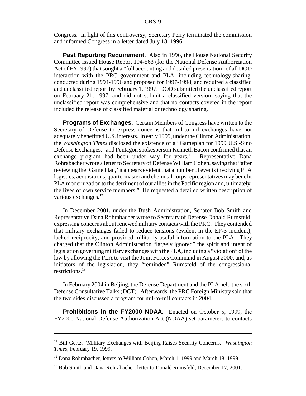Congress. In light of this controversy, Secretary Perry terminated the commission and informed Congress in a letter dated July 18, 1996.

**Past Reporting Requirement.** Also in 1996, the House National Security Committee issued House Report 104-563 (for the National Defense Authorization Act of FY1997) that sought a "full accounting and detailed presentation" of all DOD interaction with the PRC government and PLA, including technology-sharing, conducted during 1994-1996 and proposed for 1997-1998, and required a classified and unclassified report by February 1, 1997. DOD submitted the unclassified report on February 21, 1997, and did not submit a classified version, saying that the unclassified report was comprehensive and that no contacts covered in the report included the release of classified material or technology sharing.

**Programs of Exchanges.** Certain Members of Congress have written to the Secretary of Defense to express concerns that mil-to-mil exchanges have not adequately benefitted U.S. interests. In early 1999, under the Clinton Administration, the *Washington Times* disclosed the existence of a "Gameplan for 1999 U.S.-Sino Defense Exchanges," and Pentagon spokesperson Kenneth Bacon confirmed that an exchange program had been under way for years.<sup>11</sup> Representative Dana Rohrabacher wrote a letter to Secretary of Defense William Cohen, saying that "after reviewing the 'Game Plan,' it appears evident that a number of events involving PLA logistics, acquisitions, quartermaster and chemical corps representatives may benefit PLA modernization to the detriment of our allies in the Pacific region and, ultimately, the lives of own service members." He requested a detailed written description of various exchanges.<sup>12</sup>

In December 2001, under the Bush Administration, Senator Bob Smith and Representative Dana Rohrabacher wrote to Secretary of Defense Donald Rumsfeld, expressing concerns about renewed military contacts with the PRC. They contended that military exchanges failed to reduce tensions (evident in the EP-3 incident), lacked reciprocity, and provided militarily-useful information to the PLA. They charged that the Clinton Administration "largely ignored" the spirit and intent of legislation governing military exchanges with the PLA, including a "violation" of the law by allowing the PLA to visit the Joint Forces Command in August 2000, and, as initiators of the legislation, they "reminded" Rumsfeld of the congressional restrictions.<sup>13</sup>

In February 2004 in Beijing, the Defense Department and the PLA held the sixth Defense Consultative Talks (DCT). Afterwards, the PRC Foreign Ministry said that the two sides discussed a program for mil-to-mil contacts in 2004.

**Prohibitions in the FY2000 NDAA.** Enacted on October 5, 1999, the FY2000 National Defense Authorization Act (NDAA) set parameters to contacts

<sup>11</sup> Bill Gertz, "Military Exchanges with Beijing Raises Security Concerns," *Washington Times*, February 19, 1999.

<sup>&</sup>lt;sup>12</sup> Dana Rohrabacher, letters to William Cohen, March 1, 1999 and March 18, 1999.

<sup>&</sup>lt;sup>13</sup> Bob Smith and Dana Rohrabacher, letter to Donald Rumsfeld, December 17, 2001.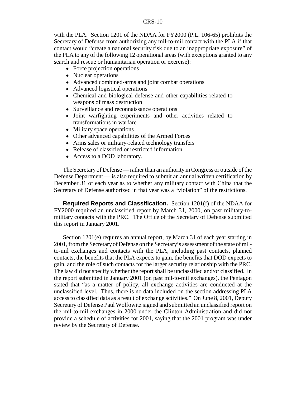with the PLA. Section 1201 of the NDAA for FY2000 (P.L. 106-65) prohibits the Secretary of Defense from authorizing any mil-to-mil contact with the PLA if that contact would "create a national security risk due to an inappropriate exposure" of the PLA to any of the following 12 operational areas (with exceptions granted to any search and rescue or humanitarian operation or exercise):

- Force projection operations
- Nuclear operations
- ! Advanced combined-arms and joint combat operations
- Advanced logistical operations
- ! Chemical and biological defense and other capabilities related to weapons of mass destruction
- Surveillance and reconnaissance operations
- ! Joint warfighting experiments and other activities related to transformations in warfare
- Military space operations
- ! Other advanced capabilities of the Armed Forces
- Arms sales or military-related technology transfers
- Release of classified or restricted information
- ! Access to a DOD laboratory.

The Secretary of Defense — rather than an authority in Congress or outside of the Defense Department — is also required to submit an annual written certification by December 31 of each year as to whether any military contact with China that the Secretary of Defense authorized in that year was a "violation" of the restrictions.

**Required Reports and Classification.** Section 1201(f) of the NDAA for FY2000 required an unclassified report by March 31, 2000, on past military-tomilitary contacts with the PRC. The Office of the Secretary of Defense submitted this report in January 2001.

Section 1201(e) requires an annual report, by March 31 of each year starting in 2001, from the Secretary of Defense on the Secretary's assessment of the state of milto-mil exchanges and contacts with the PLA, including past contacts, planned contacts, the benefits that the PLA expects to gain, the benefits that DOD expects to gain, and the role of such contacts for the larger security relationship with the PRC. The law did not specify whether the report shall be unclassified and/or classified. In the report submitted in January 2001 (on past mil-to-mil exchanges), the Pentagon stated that "as a matter of policy, all exchange activities are conducted at the unclassified level. Thus, there is no data included on the section addressing PLA access to classified data as a result of exchange activities." On June 8, 2001, Deputy Secretary of Defense Paul Wolfowitz signed and submitted an unclassified report on the mil-to-mil exchanges in 2000 under the Clinton Administration and did not provide a schedule of activities for 2001, saying that the 2001 program was under review by the Secretary of Defense.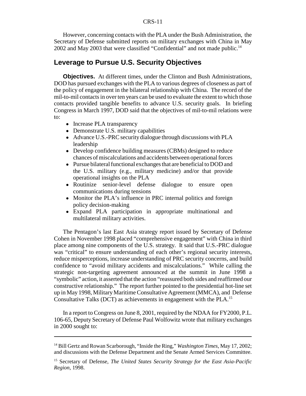#### CRS-11

However, concerning contacts with the PLA under the Bush Administration, the Secretary of Defense submitted reports on military exchanges with China in May 2002 and May 2003 that were classified "Confidential" and not made public.<sup>14</sup>

### **Leverage to Pursue U.S. Security Objectives**

**Objectives.** At different times, under the Clinton and Bush Administrations, DOD has pursued exchanges with the PLA to various degrees of closeness as part of the policy of engagement in the bilateral relationship with China. The record of the mil-to-mil contacts in over ten years can be used to evaluate the extent to which those contacts provided tangible benefits to advance U.S. security goals. In briefing Congress in March 1997, DOD said that the objectives of mil-to-mil relations were to:

- Increase PLA transparency
- Demonstrate U.S. military capabilities
- ! Advance U.S.-PRC security dialogue through discussions with PLA leadership
- Develop confidence building measures (CBMs) designed to reduce chances of miscalculations and accidents between operational forces
- Pursue bilateral functional exchanges that are beneficial to DOD and the U.S. military (e.g., military medicine) and/or that provide operational insights on the PLA
- Routinize senior-level defense dialogue to ensure open communications during tensions
- Monitor the PLA's influence in PRC internal politics and foreign policy decision-making
- ! Expand PLA participation in appropriate multinational and multilateral military activities.

The Pentagon's last East Asia strategy report issued by Secretary of Defense Cohen in November 1998 placed "comprehensive engagement" with China in third place among nine components of the U.S. strategy. It said that U.S.-PRC dialogue was "critical" to ensure understanding of each other's regional security interests, reduce misperceptions, increase understanding of PRC security concerns, and build confidence to "avoid military accidents and miscalculations." While calling the strategic non-targeting agreement announced at the summit in June 1998 a "symbolic" action, it asserted that the action "reassured both sides and reaffirmed our constructive relationship." The report further pointed to the presidential hot-line set up in May 1998, Military Maritime Consultative Agreement (MMCA), and Defense Consultative Talks (DCT) as achievements in engagement with the PLA.15

In a report to Congress on June 8, 2001, required by the NDAA for FY2000, P.L. 106-65, Deputy Secretary of Defense Paul Wolfowitz wrote that military exchanges in 2000 sought to:

<sup>14</sup> Bill Gertz and Rowan Scarborough, "Inside the Ring," *Washington Times*, May 17, 2002; and discussions with the Defense Department and the Senate Armed Services Committee.

<sup>15</sup> Secretary of Defense, *The United States Security Strategy for the East Asia-Pacific Region*, 1998.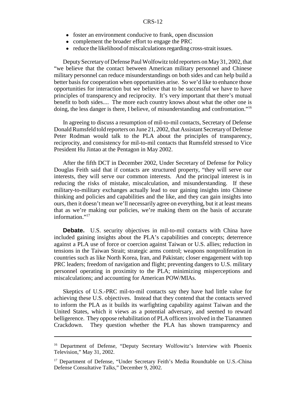- foster an environment conducive to frank, open discussion
- complement the broader effort to engage the PRC
- ! reduce the likelihood of miscalculations regarding cross-strait issues.

Deputy Secretary of Defense Paul Wolfowitz told reporters on May 31, 2002, that "we believe that the contact between American military personnel and Chinese military personnel can reduce misunderstandings on both sides and can help build a better basis for cooperation when opportunities arise. So we'd like to enhance those opportunities for interaction but we believe that to be successful we have to have principles of transparency and reciprocity. It's very important that there's mutual benefit to both sides.... The more each country knows about what the other one is doing, the less danger is there, I believe, of misunderstanding and confrontation."<sup>16</sup>

In agreeing to discuss a resumption of mil-to-mil contacts, Secretary of Defense Donald Rumsfeld told reporters on June 21, 2002, that Assistant Secretary of Defense Peter Rodman would talk to the PLA about the principles of transparency, reciprocity, and consistency for mil-to-mil contacts that Rumsfeld stressed to Vice President Hu Jintao at the Pentagon in May 2002.

After the fifth DCT in December 2002, Under Secretary of Defense for Policy Douglas Feith said that if contacts are structured property, "they will serve our interests, they will serve our common interests. And the principal interest is in reducing the risks of mistake, miscalculation, and misunderstanding. If these military-to-military exchanges actually lead to our gaining insights into Chinese thinking and policies and capabilities and the like, and they can gain insights into ours, then it doesn't mean we'll necessarily agree on everything, but it at least means that as we're making our policies, we're making them on the basis of accurate information."<sup>17</sup>

**Debate.** U.S. security objectives in mil-to-mil contacts with China have included gaining insights about the PLA's capabilities and concepts; deterrence against a PLA use of force or coercion against Taiwan or U.S. allies; reduction in tensions in the Taiwan Strait; strategic arms control; weapons nonproliferation in countries such as like North Korea, Iran, and Pakistan; closer engagement with top PRC leaders; freedom of navigation and flight; preventing dangers to U.S. military personnel operating in proximity to the PLA; minimizing misperceptions and miscalculations; and accounting for American POW/MIAs.

Skeptics of U.S.-PRC mil-to-mil contacts say they have had little value for achieving these U.S. objectives. Instead that they contend that the contacts served to inform the PLA as it builds its warfighting capability against Taiwan and the United States, which it views as a potential adversary, and seemed to reward belligerence. They oppose rehabilitation of PLA officers involved in the Tiananmen Crackdown. They question whether the PLA has shown transparency and

<sup>&</sup>lt;sup>16</sup> Department of Defense, "Deputy Secretary Wolfowitz's Interview with Phoenix Television," May 31, 2002.

<sup>&</sup>lt;sup>17</sup> Department of Defense, "Under Secretary Feith's Media Roundtable on U.S.-China Defense Consultative Talks," December 9, 2002.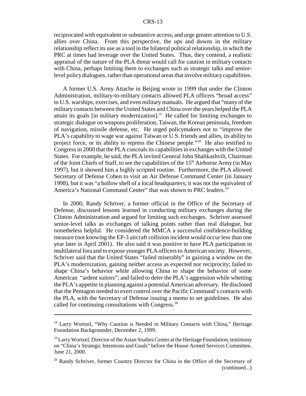reciprocated with equivalent or substantive access, and urge greater attention to U.S. allies over China. From this perspective, the ups and downs in the military relationship reflect its use as a tool in the bilateral political relationship, in which the PRC at times had leverage over the United States. Thus, they contend, a realistic appraisal of the nature of the PLA threat would call for caution in military contacts with China, perhaps limiting them to exchanges such as strategic talks and seniorlevel policy dialogues, rather than operational areas that involve military capabilities.

A former U.S. Army Attache in Beijing wrote in 1999 that under the Clinton Administration, military-to-military contacts allowed PLA officers "broad access" to U.S. warships, exercises, and even military manuals. He argued that "many of the military contacts between the United States and China over the years helped the PLA attain its goals [in military modernization]." He called for limiting exchanges to strategic dialogue on weapons proliferation, Taiwan, the Korean peninsula, freedom of navigation, missile defense, etc. He urged policymakers not to "improve the PLA's capability to wage war against Taiwan or U.S. friends and allies, its ability to project force, or its ability to repress the Chinese people."18 He also testified to Congress in 2000 that the PLA conceals its capabilities in exchanges with the United States. For example, he said, the PLA invited General John Shalikashvili, Chairman of the Joint Chiefs of Staff, to see the capabilities of the 15<sup>th</sup> Airborne Army (in May 1997), but it showed him a highly scripted routine. Furthermore, the PLA allowed Secretary of Defense Cohen to visit an Air Defense Command Center (in January 1998), but it was "a hollow shell of a local headquarters; it was not the equivalent of America's National Command Center" that was shown to PRC leaders.<sup>19</sup>

In 2000, Randy Schriver, a former official in the Office of the Secretary of Defense, discussed lessons learned in conducting military exchanges during the Clinton Administration and argued for limiting such exchanges. Schriver assessed senior-level talks as exchanges of talking points rather than real dialogue, but nonetheless helpful. He considered the MMCA a successful confidence-building measure (not knowing the EP-3 aircraft collision incident would occur less than one year later in April 2001). He also said it was positive to have PLA participation in multilateral fora and to expose younger PLA officers to American society. However, Schriver said that the United States "failed miserably" in gaining a window on the PLA's modernization, gaining neither access as expected nor reciprocity; failed to shape China's behavior while allowing China to shape the behavior of some American "ardent suitors"; and failed to deter the PLA's aggression while whetting the PLA's appetite in planning against a potential American adversary. He disclosed that the Pentagon needed to exert control over the Pacific Command's contacts with the PLA, with the Secretary of Defense issuing a memo to set guidelines. He also called for continuing consultations with Congress.<sup>20</sup>

<sup>&</sup>lt;sup>18</sup> Larry Wortzel, "Why Caution is Needed in Military Contacts with China," Heritage Foundation Backgrounder, December 2, 1999.

 $19$  Larry Wortzel, Director of the Asian Studies Center at the Heritage Foundation, testimony on "China's Strategic Intentions and Goals" before the House Armed Services Committee, June 21, 2000.

<sup>&</sup>lt;sup>20</sup> Randy Schriver, former Country Director for China in the Office of the Secretary of (continued...)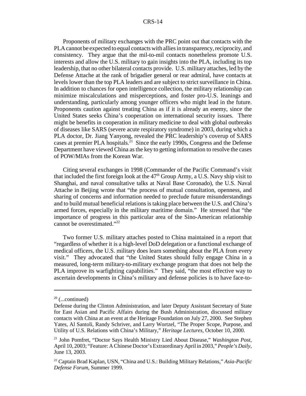#### CRS-14

Proponents of military exchanges with the PRC point out that contacts with the PLA cannot be expected to equal contacts with allies in transparency, reciprocity, and consistency. They argue that the mil-to-mil contacts nonetheless promote U.S. interests and allow the U.S. military to gain insights into the PLA, including its top leadership, that no other bilateral contacts provide. U.S. military attaches, led by the Defense Attache at the rank of brigadier general or rear admiral, have contacts at levels lower than the top PLA leaders and are subject to strict surveillance in China. In addition to chances for open intelligence collection, the military relationship can minimize miscalculations and misperceptions, and foster pro-U.S. leanings and understanding, particularly among younger officers who might lead in the future. Proponents caution against treating China as if it is already an enemy, since the United States seeks China's cooperation on international security issues. There might be benefits in cooperation in military medicine to deal with global outbreaks of diseases like SARS (severe acute respiratory syndrome) in 2003, during which a PLA doctor, Dr. Jiang Yanyong, revealed the PRC leadership's coverup of SARS cases at premier PLA hospitals.21 Since the early 1990s, Congress and the Defense Department have viewed China as the key to getting information to resolve the cases of POW/MIAs from the Korean War.

Citing several exchanges in 1998 (Commander of the Pacific Command's visit that included the first foreign look at the  $47<sup>th</sup>$  Group Army, a U.S. Navy ship visit to Shanghai, and naval consultative talks at Naval Base Coronado), the U.S. Naval Attache in Beijing wrote that "the process of mutual consultation, openness, and sharing of concerns and information needed to preclude future misunderstandings and to build mutual beneficial relations is taking place between the U.S. and China's armed forces, especially in the military maritime domain." He stressed that "the importance of progress in this particular area of the Sino-American relationship cannot be overestimated."<sup>22</sup>

Two former U.S. military attaches posted to China maintained in a report that "regardless of whether it is a high-level DoD delegation or a functional exchange of medical officers, the U.S. military does learn something about the PLA from every visit." They advocated that "the United States should fully engage China in a measured, long-term military-to-military exchange program that does not help the PLA improve its warfighting capabilities." They said, "the most effective way to ascertain developments in China's military and defense policies is to have face-to-

 $20$  (...continued)

Defense during the Clinton Administration, and later Deputy Assistant Secretary of State for East Asian and Pacific Affairs during the Bush Administration, discussed military contacts with China at an event at the Heritage Foundation on July 27, 2000. See Stephen Yates, Al Santoli, Randy Schriver, and Larry Wortzel, "The Proper Scope, Purpose, and Utility of U.S. Relations with China's Military," *Heritage Lectures*, October 10, 2000.

<sup>21</sup> John Pomfret, "Doctor Says Health Ministry Lied About Disease," *Washington Post*, April 10, 2003; "Feature: A Chinese Doctor's Extraordinary April in 2003," *People's Daily*, June 13, 2003.

<sup>22</sup> Captain Brad Kaplan, USN, "China and U.S.: Building Military Relations," *Asia-Pacific Defense Forum*, Summer 1999.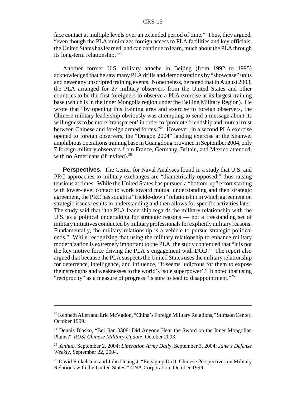face contact at multiple levels over an extended period of time." Thus, they argued, "even though the PLA minimizes foreign access to PLA facilities and key officials, the United States has learned, and can continue to learn, much about the PLA through its long-term relationship."23

Another former U.S. military attache in Beijing (from 1992 to 1995) acknowledged that he saw many PLA drills and demonstrations by "showcase" units and never any unscripted training events. Nonetheless, he noted that in August 2003, the PLA arranged for 27 military observers from the United States and other countries to be the first foreigners to observe a PLA exercise at its largest training base (which is in the Inner Mongolia region under the Beijing Military Region). He wrote that "by opening this training area and exercise to foreign observers, the Chinese military leadership obviously was attempting to send a message about its willingness to be more 'transparent' in order to 'promote friendship and mutual trust between Chinese and foreign armed forces."24 However, in a second PLA exercise opened to foreign observers, the "Dragon 2004" landing exercise at the Shanwei amphibious operations training base in Guangdong province in September 2004, only 7 foreign military observers from France, Germany, Britain, and Mexico attended, with no Americans (if invited). $^{25}$ 

**Perspectives.** The Center for Naval Analyses found in a study that U.S. and PRC approaches to military exchanges are "diametrically opposed," thus raising tensions at times. While the United States has pursued a "bottom-up" effort starting with lower-level contact to work toward mutual understanding and then strategic agreement, the PRC has sought a "trickle-down" relationship in which agreement on strategic issues results in understanding and then allows for specific activities later. The study said that "the PLA leadership regards the military relationship with the U.S. as a political undertaking for strategic reasons — not a freestanding set of military initiatives conducted by military professionals for explicitly military reasons. Fundamentally, the military relationship is a vehicle to pursue strategic political ends." While recognizing that using the military relationship to enhance military modernization is extremely important to the PLA, the study contended that "it is not the key motive force driving the PLA's engagement with DOD." The report also argued that because the PLA suspects the United States uses the military relationship for deterrence, intelligence, and influence, "it seems ludicrous for them to expose their strengths and weaknesses to the world's 'sole superpower'." It noted that using "reciprocity" as a measure of progress "is sure to lead to disappointment."<sup>26</sup>

<sup>&</sup>lt;sup>23</sup> Kenneth Allen and Eric McVadon, "China's Foreign Military Relations," Stimson Center, October 1999.

<sup>24</sup> Dennis Blasko, "Bei Jian 0308: Did Anyone Hear the Sword on the Inner Mongolian Plains?" *RUSI Chinese Military Update*, October 2003.

<sup>25</sup> *Xinhua*, September 2, 2004; *Liberation Army Daily*, September 3, 2004; *Jane's Defense Weekly*, September 22, 2004.

 $26$  David Finkelstein and John Unangst, "Engaging DoD: Chinese Perspectives on Military Relations with the United States," CNA Corporation, October 1999.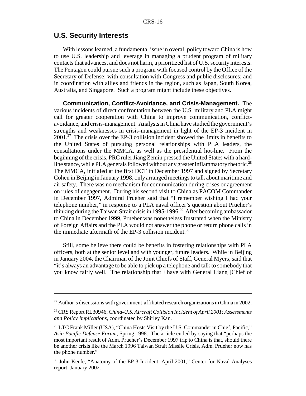#### **U.S. Security Interests**

With lessons learned, a fundamental issue in overall policy toward China is how to use U.S. leadership and leverage in managing a prudent program of military contacts that advances, and does not harm, a prioritized list of U.S. security interests. The Pentagon could pursue such a program with focused control by the Office of the Secretary of Defense; with consultation with Congress and public disclosures; and in coordination with allies and friends in the region, such as Japan, South Korea, Australia, and Singapore. Such a program might include these objectives.

**Communication, Conflict-Avoidance, and Crisis-Management.** The various incidents of direct confrontation between the U.S. military and PLA might call for greater cooperation with China to improve communication, conflictavoidance, and crisis-management. Analysts in China have studied the government's strengths and weaknesses in crisis-management in light of the EP-3 incident in  $2001<sup>27</sup>$  The crisis over the EP-3 collision incident showed the limits in benefits to the United States of pursuing personal relationships with PLA leaders, the consultations under the MMCA, as well as the presidential hot-line. From the beginning of the crisis, PRC ruler Jiang Zemin pressed the United States with a hardline stance, while PLA generals followed without any greater inflammatory rhetoric.<sup>28</sup> The MMCA, initialed at the first DCT in December 1997 and signed by Secretary Cohen in Beijing in January 1998, only arranged meetings to talk about maritime and air safety. There was no mechanism for communication during crises or agreement on rules of engagement. During his second visit to China as PACOM Commander in December 1997, Admiral Prueher said that "I remember wishing I had your telephone number," in response to a PLA naval officer's question about Prueher's thinking during the Taiwan Strait crisis in 1995-1996.<sup>29</sup> After becoming ambassador to China in December 1999, Prueher was nonetheless frustrated when the Ministry of Foreign Affairs and the PLA would not answer the phone or return phone calls in the immediate aftermath of the EP-3 collision incident.<sup>30</sup>

Still, some believe there could be benefits in fostering relationships with PLA officers, both at the senior level and with younger, future leaders. While in Beijing in January 2004, the Chairman of the Joint Chiefs of Staff, General Myers, said that "it's always an advantage to be able to pick up a telephone and talk to somebody that you know fairly well. The relationship that I have with General Liang [Chief of

 $27$  Author's discussions with government-affiliated research organizations in China in 2002.

<sup>28</sup> CRS Report RL30946, *China-U.S. Aircraft Collision Incident of April 2001: Assessments and Policy Implications*, coordinated by Shirley Kan.

 $29$  LTC Frank Miller (USA), "China Hosts Visit by the U.S. Commander in Chief, Pacific," *Asia Pacific Defense Forum*, Spring 1998. The article ended by saying that "perhaps the most important result of Adm. Prueher's December 1997 trip to China is that, should there be another crisis like the March 1996 Taiwan Strait Missile Crisis, Adm. Prueher now has the phone number."

<sup>&</sup>lt;sup>30</sup> John Keefe, "Anatomy of the EP-3 Incident, April 2001," Center for Naval Analyses report, January 2002.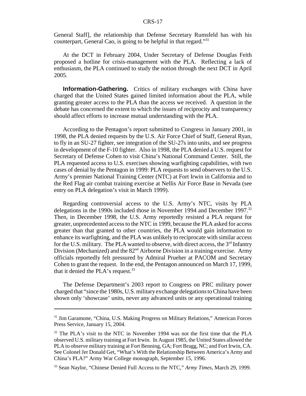#### CRS-17

General Staff], the relationship that Defense Secretary Rumsfeld has with his counterpart, General Cao, is going to be helpful in that regard."<sup>31</sup>

At the DCT in February 2004, Under Secretary of Defense Douglas Feith proposed a hotline for crisis-management with the PLA. Reflecting a lack of enthusiasm, the PLA continued to study the notion through the next DCT in April 2005.

**Information-Gathering.** Critics of military exchanges with China have charged that the United States gained limited information about the PLA, while granting greater access to the PLA than the access we received. A question in the debate has concerned the extent to which the issues of reciprocity and transparency should affect efforts to increase mutual understanding with the PLA.

According to the Pentagon's report submitted to Congress in January 2001, in 1998, the PLA denied requests by the U.S. Air Force Chief of Staff, General Ryan, to fly in an SU-27 fighter, see integration of the SU-27s into units, and see progress in development of the F-10 fighter. Also in 1998, the PLA denied a U.S. request for Secretary of Defense Cohen to visit China's National Command Center. Still, the PLA requested access to U.S. exercises showing warfighting capabilities, with two cases of denial by the Pentagon in 1999: PLA requests to send observers to the U.S. Army's premier National Training Center (NTC) at Fort Irwin in California and to the Red Flag air combat training exercise at Nellis Air Force Base in Nevada (see entry on PLA delegation's visit in March 1999).

Regarding controversial access to the U.S. Army's NTC, visits by PLA delegations in the 1990s included those in November 1994 and December 1997.<sup>32</sup> Then, in December 1998, the U.S. Army reportedly resisted a PLA request for greater, unprecedented access to the NTC in 1999, because the PLA asked for access greater than that granted to other countries, the PLA would gain information to enhance its warfighting, and the PLA was unlikely to reciprocate with similar access for the U.S. military. The PLA wanted to observe, with direct access, the  $3<sup>rd</sup>$  Infantry Division (Mechanized) and the  $82<sup>nd</sup>$  Airborne Division in a training exercise. Army officials reportedly felt pressured by Admiral Prueher at PACOM and Secretary Cohen to grant the request. In the end, the Pentagon announced on March 17, 1999, that it denied the PLA's request.<sup>33</sup>

The Defense Department's 2003 report to Congress on PRC military power charged that "since the 1980s, U.S. military exchange delegations to China have been shown only 'showcase' units, never any advanced units or any operational training

<sup>&</sup>lt;sup>31</sup> Jim Garamone, "China, U.S. Making Progress on Military Relations," American Forces Press Service, January 15, 2004.

 $32$  The PLA's visit to the NTC in November 1994 was not the first time that the PLA observed U.S. military training at Fort Irwin. In August 1985, the United States allowed the PLA to observe military training at Fort Benning, GA; Fort Bragg, NC; and Fort Irwin, CA. See Colonel Jer Donald Get, "What's With the Relationship Between America's Army and China's PLA?" Army War College monograph, September 15, 1996.

<sup>33</sup> Sean Naylor, "Chinese Denied Full Access to the NTC," *Army Times*, March 29, 1999.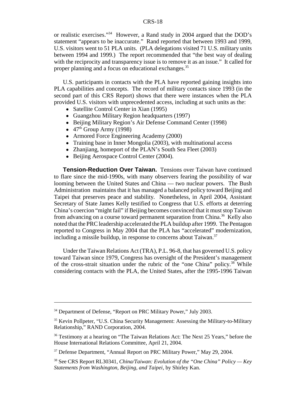or realistic exercises."34 However, a Rand study in 2004 argued that the DOD's statement "appears to be inaccurate." Rand reported that between 1993 and 1999, U.S. visitors went to 51 PLA units. (PLA delegations visited 71 U.S. military units between 1994 and 1999.) The report recommended that "the best way of dealing with the reciprocity and transparency issue is to remove it as an issue." It called for proper planning and a focus on educational exchanges.<sup>35</sup>

U.S. participants in contacts with the PLA have reported gaining insights into PLA capabilities and concepts. The record of military contacts since 1993 (in the second part of this CRS Report) shows that there were instances when the PLA provided U.S. visitors with unprecedented access, including at such units as the:

- Satellite Control Center in Xian (1995)
- Guangzhou Military Region headquarters (1997)
- ! Beijing Military Region's Air Defense Command Center (1998)
- $\bullet$  47<sup>th</sup> Group Army (1998)
- Armored Force Engineering Academy (2000)
- Training base in Inner Mongolia (2003), with multinational access
- Zhanjiang, homeport of the PLAN's South Sea Fleet (2003)
- Beijing Aerospace Control Center (2004).

**Tension-Reduction Over Taiwan.** Tensions over Taiwan have continued to flare since the mid-1990s, with many observers fearing the possibility of war looming between the United States and China — two nuclear powers. The Bush Administration maintains that it has managed a balanced policy toward Beijing and Taipei that preserves peace and stability. Nonetheless, in April 2004, Assistant Secretary of State James Kelly testified to Congress that U.S. efforts at deterring China's coercion "might fail" if Beijing becomes convinced that it must stop Taiwan from advancing on a course toward permanent separation from China.<sup>36</sup> Kelly also noted that the PRC leadership accelerated the PLA buildup after 1999. The Pentagon reported to Congress in May 2004 that the PLA has "accelerated" modernization, including a missile buildup, in response to concerns about Taiwan. $37$ 

Under the Taiwan Relations Act (TRA), P.L. 96-8, that has governed U.S. policy toward Taiwan since 1979, Congress has oversight of the President's management of the cross-strait situation under the rubric of the "one China" policy.38 While considering contacts with the PLA, the United States, after the 1995-1996 Taiwan

<sup>&</sup>lt;sup>34</sup> Department of Defense, "Report on PRC Military Power," July 2003.

<sup>&</sup>lt;sup>35</sup> Kevin Pollpeter, "U.S. China Security Management: Assessing the Military-to-Military Relationship," RAND Corporation, 2004.

<sup>&</sup>lt;sup>36</sup> Testimony at a hearing on "The Taiwan Relations Act: The Next 25 Years," before the House International Relations Committee, April 21, 2004.

<sup>&</sup>lt;sup>37</sup> Defense Department, "Annual Report on PRC Military Power," May 29, 2004.

<sup>38</sup> See CRS Report RL30341, *China/Taiwan: Evolution of the "One China" Policy — Key Statements from Washington, Beijing, and Taipei*, by Shirley Kan.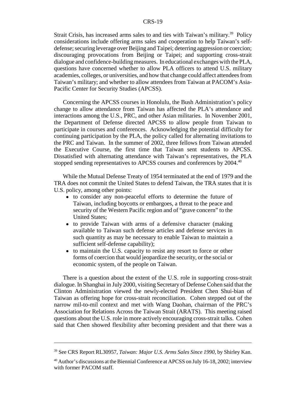Strait Crisis, has increased arms sales to and ties with Taiwan's military.<sup>39</sup> Policy considerations include offering arms sales and cooperation to help Taiwan's selfdefense; securing leverage over Beijing and Taipei; deterring aggression or coercion; discouraging provocations from Beijing or Taipei; and supporting cross-strait dialogue and confidence-building measures. In educational exchanges with the PLA, questions have concerned whether to allow PLA officers to attend U.S. military academies, colleges, or universities, and how that change could affect attendees from Taiwan's military; and whether to allow attendees from Taiwan at PACOM's Asia-Pacific Center for Security Studies (APCSS).

Concerning the APCSS courses in Honolulu, the Bush Administration's policy change to allow attendance from Taiwan has affected the PLA's attendance and interactions among the U.S., PRC, and other Asian militaries. In November 2001, the Department of Defense directed APCSS to allow people from Taiwan to participate in courses and conferences. Acknowledging the potential difficulty for continuing participation by the PLA, the policy called for alternating invitations to the PRC and Taiwan. In the summer of 2002, three fellows from Taiwan attended the Executive Course, the first time that Taiwan sent students to APCSS. Dissatisfied with alternating attendance with Taiwan's representatives, the PLA stopped sending representatives to APCSS courses and conferences by 2004.<sup>40</sup>

While the Mutual Defense Treaty of 1954 terminated at the end of 1979 and the TRA does not commit the United States to defend Taiwan, the TRA states that it is U.S. policy, among other points:

- ! to consider any non-peaceful efforts to determine the future of Taiwan, including boycotts or embargoes, a threat to the peace and security of the Western Pacific region and of "grave concern" to the United States;
- to provide Taiwan with arms of a defensive character (making available to Taiwan such defense articles and defense services in such quantity as may be necessary to enable Taiwan to maintain a sufficient self-defense capability);
- to maintain the U.S. capacity to resist any resort to force or other forms of coercion that would jeopardize the security, or the social or economic system, of the people on Taiwan.

There is a question about the extent of the U.S. role in supporting cross-strait dialogue. In Shanghai in July 2000, visiting Secretary of Defense Cohen said that the Clinton Administration viewed the newly-elected President Chen Shui-bian of Taiwan as offering hope for cross-strait reconciliation. Cohen stepped out of the narrow mil-to-mil context and met with Wang Daohan, chairman of the PRC's Association for Relations Across the Taiwan Strait (ARATS). This meeting raised questions about the U.S. role in more actively encouraging cross-strait talks. Cohen said that Chen showed flexibility after becoming president and that there was a

<sup>39</sup> See CRS Report RL30957, *Taiwan: Major U.S. Arms Sales Since 1990,* by Shirley Kan.

<sup>&</sup>lt;sup>40</sup> Author's discussions at the Biennial Conference at APCSS on July 16-18, 2002; interview with former PACOM staff.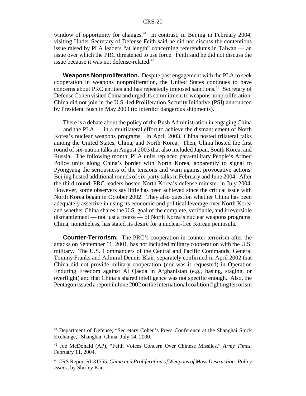window of opportunity for changes.<sup>41</sup> In contrast, in Beijing in February 2004, visiting Under Secretary of Defense Feith said he did not discuss the contentious issue raised by PLA leaders "at length" concerning referendums in Taiwan — an issue over which the PRC threatened to use force. Feith said he did not discuss the issue because it was not defense-related. $42$ 

**Weapons Nonproliferation.** Despite past engagement with the PLA to seek cooperation in weapons nonproliferation, the United States continues to have concerns about PRC entities and has repeatedly imposed sanctions.43 Secretary of Defense Cohen visited China and urged its commitment to weapons nonproliferation. China did not join in the U.S.-led Proliferation Security Initiative (PSI) announced by President Bush in May 2003 (to interdict dangerous shipments).

There is a debate about the policy of the Bush Administration in engaging China — and the PLA — in a multilateral effort to achieve the dismantlement of North Korea's nuclear weapons programs. In April 2003, China hosted trilateral talks among the United States, China, and North Korea. Then, China hosted the first round of six-nation talks in August 2003 that also included Japan, South Korea, and Russia. The following month, PLA units replaced para-military People's Armed Police units along China's border with North Korea, apparently to signal to Pyongyang the seriousness of the tensions and warn against provocative actions. Beijing hosted additional rounds of six-party talks in February and June 2004. After the third round, PRC leaders hosted North Korea's defense minister in July 2004. However, some observers say little has been achieved since the critical issue with North Korea began in October 2002. They also question whether China has been adequately assertive in using its economic and political leverage over North Korea and whether China shares the U.S. goal of the complete, verifiable, and irreversible dismantlement — not just a freeze — of North Korea's nuclear weapons programs. China, nonetheless, has stated its desire for a nuclear-free Korean peninsula.

**Counter-Terrorism.** The PRC's cooperation in counter-terrorism after the attacks on September 11, 2001, has not included military cooperation with the U.S. military. The U.S. Commanders of the Central and Pacific Commands, General Tommy Franks and Admiral Dennis Blair, separately confirmed in April 2002 that China did not provide military cooperation (nor was it requested) in Operation Enduring Freedom against Al Qaeda in Afghanistan (e.g., basing, staging, or overflight) and that China's shared intelligence was not specific enough. Also, the Pentagon issued a report in June 2002 on the international coalition fighting terrorism

<sup>41</sup> Department of Defense, "Secretary Cohen's Press Conference at the Shanghai Stock Exchange," Shanghai, China, July 14, 2000.

<sup>42</sup> Joe McDonald (AP), "Feith Voices Concern Over Chinese Missiles," *Army Times*, February 11, 2004.

<sup>43</sup> CRS Report RL31555, *China and Proliferation of Weapons of Mass Destruction: Policy Issues*, by Shirley Kan.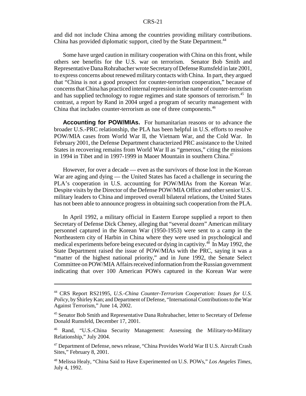and did not include China among the countries providing military contributions. China has provided diplomatic support, cited by the State Department.<sup>44</sup>

Some have urged caution in military cooperation with China on this front, while others see benefits for the U.S. war on terrorism. Senator Bob Smith and Representative Dana Rohrabacher wrote Secretary of Defense Rumsfeld in late 2001, to express concerns about renewed military contacts with China. In part, they argued that "China is not a good prospect for counter-terrorism cooperation," because of concerns that China has practiced internal repression in the name of counter-terrorism and has supplied technology to rogue regimes and state sponsors of terrorism.<sup>45</sup> In contrast, a report by Rand in 2004 urged a program of security management with China that includes counter-terrorism as one of three components.<sup>46</sup>

**Accounting for POW/MIAs.** For humanitarian reasons or to advance the broader U.S.-PRC relationship, the PLA has been helpful in U.S. efforts to resolve POW/MIA cases from World War II, the Vietnam War, and the Cold War. In February 2001, the Defense Department characterized PRC assistance to the United States in recovering remains from World War II as "generous," citing the missions in 1994 in Tibet and in 1997-1999 in Maoer Mountain in southern China.<sup>47</sup>

However, for over a decade — even as the survivors of those lost in the Korean War are aging and dying — the United States has faced a challenge in securing the PLA's cooperation in U.S. accounting for POW/MIAs from the Korean War. Despite visits by the Director of the Defense POW/MIA Office and other senior U.S. military leaders to China and improved overall bilateral relations, the United States has not been able to announce progress in obtaining such cooperation from the PLA.

In April 1992, a military official in Eastern Europe supplied a report to then Secretary of Defense Dick Cheney, alleging that "several dozen" American military personnel captured in the Korean War (1950-1953) were sent to a camp in the Northeastern city of Harbin in China where they were used in psychological and medical experiments before being executed or dying in captivity.<sup>48</sup> In May 1992, the State Department raised the issue of POW/MIAs with the PRC, saying it was a "matter of the highest national priority," and in June 1992, the Senate Select Committee on POW/MIA Affairs received information from the Russian government indicating that over 100 American POWs captured in the Korean War were

<sup>44</sup> CRS Report RS21995, *U.S.-China Counter-Terrorism Cooperation: Issues for U.S. Policy*, by Shirley Kan; and Department of Defense, "International Contributions to the War Against Terrorism," June 14, 2002.

<sup>45</sup> Senator Bob Smith and Representative Dana Rohrabacher, letter to Secretary of Defense Donald Rumsfeld, December 17, 2001.

<sup>46</sup> Rand, "U.S.-China Security Management: Assessing the Military-to-Military Relationship," July 2004.

<sup>&</sup>lt;sup>47</sup> Department of Defense, news release, "China Provides World War II U.S. Aircraft Crash Sites," February 8, 2001.

<sup>48</sup> Melissa Healy, "China Said to Have Experimented on U.S. POWs," *Los Angeles Times*, July 4, 1992.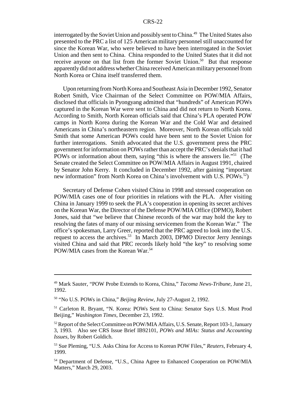interrogated by the Soviet Union and possibly sent to China.<sup>49</sup> The United States also presented to the PRC a list of 125 American military personnel still unaccounted for since the Korean War, who were believed to have been interrogated in the Soviet Union and then sent to China. China responded to the United States that it did not receive anyone on that list from the former Soviet Union.<sup>50</sup> But that response apparently did not address whether China received American military personnel from North Korea or China itself transferred them.

Upon returning from North Korea and Southeast Asia in December 1992, Senator Robert Smith, Vice Chairman of the Select Committee on POW/MIA Affairs, disclosed that officials in Pyongyang admitted that "hundreds" of American POWs captured in the Korean War were sent to China and did not return to North Korea. According to Smith, North Korean officials said that China's PLA operated POW camps in North Korea during the Korean War and the Cold War and detained Americans in China's northeastern region. Moreover, North Korean officials told Smith that some American POWs could have been sent to the Soviet Union for further interrogations. Smith advocated that the U.S. government press the PRC government for information on POWs rather than accept the PRC's denials that it had POWs or information about them, saying "this is where the answers lie."<sup>51</sup> (The Senate created the Select Committee on POW/MIA Affairs in August 1991, chaired by Senator John Kerry. It concluded in December 1992, after gaining "important new information" from North Korea on China's involvement with U.S. POWs.<sup>52</sup>)

Secretary of Defense Cohen visited China in 1998 and stressed cooperation on POW/MIA cases one of four priorities in relations with the PLA. After visiting China in January 1999 to seek the PLA's cooperation in opening its secret archives on the Korean War, the Director of the Defense POW/MIA Office (DPMO), Robert Jones, said that "we believe that Chinese records of the war may hold the key to resolving the fates of many of our missing servicemen from the Korean War." The office's spokesman, Larry Greer, reported that the PRC agreed to look into the U.S. request to access the archives.<sup>53</sup> In March 2003, DPMO Director Jerry Jennings visited China and said that PRC records likely hold "the key" to resolving some POW/MIA cases from the Korean War.<sup>54</sup>

<sup>49</sup> Mark Sauter, "POW Probe Extends to Korea, China," *Tacoma News-Tribune*, June 21, 1992.

<sup>50 &</sup>quot;No U.S. POWs in China," *Beijing Review*, July 27-August 2, 1992.

<sup>51</sup> Carleton R. Bryant, "N. Korea: POWs Sent to China: Senator Says U.S. Must Prod Beijing," *Washington Times*, December 23, 1992.

<sup>&</sup>lt;sup>52</sup> Report of the Select Committee on POW/MIA Affairs, U.S. Senate, Report 103-1, January 3, 1993. Also see CRS Issue Brief IB92101, *POWs and MIAs: Status and Accounting Issues*, by Robert Goldich.

<sup>53</sup> Sue Pleming, "U.S. Asks China for Access to Korean POW Files," *Reuters*, February 4, 1999.

<sup>54</sup> Department of Defense, "U.S., China Agree to Enhanced Cooperation on POW/MIA Matters," March 29, 2003.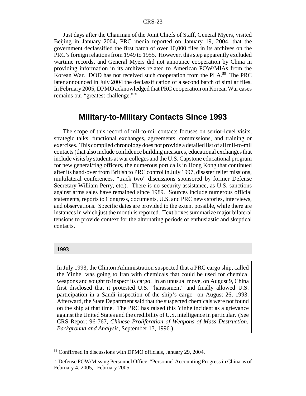Just days after the Chairman of the Joint Chiefs of Staff, General Myers, visited Beijing in January 2004, PRC media reported on January 19, 2004, that the government declassified the first batch of over 10,000 files in its archives on the PRC's foreign relations from 1949 to 1955. However, this step apparently excluded wartime records, and General Myers did not announce cooperation by China in providing information in its archives related to American POW/MIAs from the Korean War. DOD has not received such cooperation from the PLA.<sup>55</sup> The PRC later announced in July 2004 the declassification of a second batch of similar files. In February 2005, DPMO acknowledged that PRC cooperation on Korean War cases remains our "greatest challenge."56

## **Military-to-Military Contacts Since 1993**

The scope of this record of mil-to-mil contacts focuses on senior-level visits, strategic talks, functional exchanges, agreements, commissions, and training or exercises. This compiled chronology does not provide a detailed list of all mil-to-mil contacts (that also include confidence building measures, educational exchanges that include visits by students at war colleges and the U.S. Capstone educational program for new general/flag officers, the numerous port calls in Hong Kong that continued after its hand-over from British to PRC control in July 1997, disaster relief missions, multilateral conferences, "track two" discussions sponsored by former Defense Secretary William Perry, etc.). There is no security assistance, as U.S. sanctions against arms sales have remained since 1989. Sources include numerous official statements, reports to Congress, documents, U.S. and PRC news stories, interviews, and observations. Specific dates are provided to the extent possible, while there are instances in which just the month is reported. Text boxes summarize major bilateral tensions to provide context for the alternating periods of enthusiastic and skeptical contacts.

#### **1993**

In July 1993, the Clinton Administration suspected that a PRC cargo ship, called the Yinhe, was going to Iran with chemicals that could be used for chemical weapons and sought to inspect its cargo. In an unusual move, on August 9, China first disclosed that it protested U.S. "harassment" and finally allowed U.S. participation in a Saudi inspection of the ship's cargo on August 26, 1993. Afterward, the State Department said that the suspected chemicals were not found on the ship at that time. The PRC has raised this Yinhe incident as a grievance against the United States and the credibility of U.S. intelligence in particular. (See CRS Report 96-767, *Chinese Proliferation of Weapons of Mass Destruction: Background and Analysis*, September 13, 1996.)

<sup>55</sup> Confirmed in discussions with DPMO officials, January 29, 2004.

<sup>56</sup> Defense POW/Missing Personnel Office, "Personnel Accounting Progress in China as of February 4, 2005," February 2005.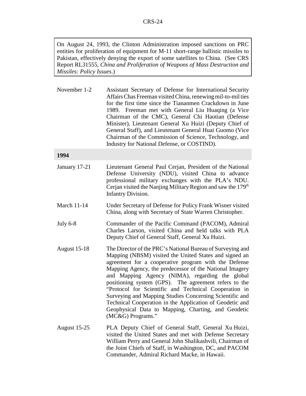On August 24, 1993, the Clinton Administration imposed sanctions on PRC entities for proliferation of equipment for M-11 short-range ballistic missiles to Pakistan, effectively denying the export of some satellites to China. (See CRS Report RL31555, *China and Proliferation of Weapons of Mass Destruction and Missiles: Policy Issues*.)

November 1-2 Assistant Secretary of Defense for International Security Affairs Chas Freeman visited China, renewing mil-to-mil ties for the first time since the Tiananmen Crackdown in June 1989. Freeman met with General Liu Huaqing (a Vice Chairman of the CMC), General Chi Haotian (Defense Minister), Lieutenant General Xu Huizi (Deputy Chief of General Staff), and Lieutenant General Huai Guomo (Vice Chairman of the Commission of Science, Technology, and Industry for National Defense, or COSTIND).

#### **1994**

- January 17-21 Lieutenant General Paul Cerjan, President of the National Defense University (NDU), visited China to advance professional military exchanges with the PLA's NDU. Cerjan visited the Nanjing Military Region and saw the 179<sup>th</sup> Infantry Division.
- March 11-14 Under Secretary of Defense for Policy Frank Wisner visited China, along with Secretary of State Warren Christopher.
- July 6-8 Commander of the Pacific Command (PACOM), Admiral Charles Larson, visited China and held talks with PLA Deputy Chief of General Staff, General Xu Huizi.
- August 15-18 The Director of the PRC's National Bureau of Surveying and Mapping (NBSM) visited the United States and signed an agreement for a cooperative program with the Defense Mapping Agency, the predecessor of the National Imagery and Mapping Agency (NIMA), regarding the global positioning system (GPS). The agreement refers to the "Protocol for Scientific and Technical Cooperation in Surveying and Mapping Studies Concerning Scientific and Technical Cooperation in the Application of Geodetic and Geophysical Data to Mapping, Charting, and Geodetic (MC&G) Programs."
- August 15-25 PLA Deputy Chief of General Staff, General Xu Huizi, visited the United States and met with Defense Secretary William Perry and General John Shalikashvili, Chairman of the Joint Chiefs of Staff, in Washington, DC, and PACOM Commander, Admiral Richard Macke, in Hawaii.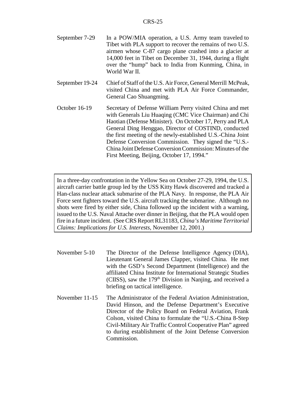| September 7-29 | In a POW/MIA operation, a U.S. Army team traveled to       |
|----------------|------------------------------------------------------------|
|                | Tibet with PLA support to recover the remains of two U.S.  |
|                | airmen whose C-87 cargo plane crashed into a glacier at    |
|                | 14,000 feet in Tibet on December 31, 1944, during a flight |
|                | over the "hump" back to India from Kunming, China, in      |
|                | World War II.                                              |

- September 19-24 Chief of Staff of the U.S. Air Force, General Merrill McPeak, visited China and met with PLA Air Force Commander, General Cao Shuangming.
- October 16-19 Secretary of Defense William Perry visited China and met with Generals Liu Huaqing (CMC Vice Chairman) and Chi Haotian (Defense Minister). On October 17, Perry and PLA General Ding Henggao, Director of COSTIND, conducted the first meeting of the newly-established U.S.-China Joint Defense Conversion Commission. They signed the "U.S.- China Joint Defense Conversion Commission: Minutes of the First Meeting, Beijing, October 17, 1994."

In a three-day confrontation in the Yellow Sea on October 27-29, 1994, the U.S. aircraft carrier battle group led by the USS Kitty Hawk discovered and tracked a Han-class nuclear attack submarine of the PLA Navy. In response, the PLA Air Force sent fighters toward the U.S. aircraft tracking the submarine. Although no shots were fired by either side, China followed up the incident with a warning, issued to the U.S. Naval Attache over dinner in Beijing, that the PLA would open fire in a future incident. (See CRS Report RL31183, *China's Maritime Territorial Claims: Implications for U.S. Interests*, November 12, 2001.)

- November 5-10 The Director of the Defense Intelligence Agency (DIA), Lieutenant General James Clapper, visited China. He met with the GSD's Second Department (Intelligence) and the affiliated China Institute for International Strategic Studies (CIISS), saw the 179<sup>th</sup> Division in Nanjing, and received a briefing on tactical intelligence.
- November 11-15 The Administrator of the Federal Aviation Administration, David Hinson, and the Defense Department's Executive Director of the Policy Board on Federal Aviation, Frank Colson, visited China to formulate the "U.S.-China 8-Step Civil-Military Air Traffic Control Cooperative Plan" agreed to during establishment of the Joint Defense Conversion Commission.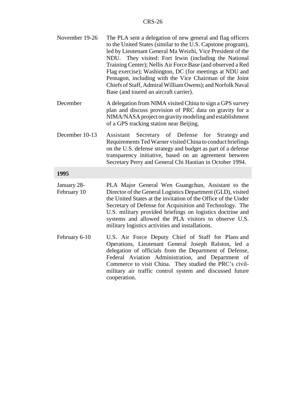| November 19-26             | The PLA sent a delegation of new general and flag officers<br>to the United States (similar to the U.S. Capstone program),<br>led by Lieutenant General Ma Weizhi, Vice President of the<br>NDU. They visited: Fort Irwin (including the National<br>Training Center); Nellis Air Force Base (and observed a Red<br>Flag exercise); Washington, DC (for meetings at NDU and<br>Pentagon, including with the Vice Chairman of the Joint<br>Chiefs of Staff, Admiral William Owens); and Norfolk Naval<br>Base (and toured an aircraft carrier). |
|----------------------------|------------------------------------------------------------------------------------------------------------------------------------------------------------------------------------------------------------------------------------------------------------------------------------------------------------------------------------------------------------------------------------------------------------------------------------------------------------------------------------------------------------------------------------------------|
| December                   | A delegation from NIMA visited China to sign a GPS survey<br>plan and discuss provision of PRC data on gravity for a<br>NIMA/NASA project on gravity modeling and establishment<br>of a GPS tracking station near Beijing.                                                                                                                                                                                                                                                                                                                     |
| December 10-13             | Secretary of Defense for<br>Assistant<br>Strategy and<br>Requirements Ted Warner visited China to conduct briefings<br>on the U.S. defense strategy and budget as part of a defense<br>transparency initiative, based on an agreement between<br>Secretary Perry and General Chi Haotian in October 1994.                                                                                                                                                                                                                                      |
| 1995                       |                                                                                                                                                                                                                                                                                                                                                                                                                                                                                                                                                |
| January 28-<br>February 10 | PLA Major General Wen Guangchun, Assistant to the<br>Director of the General Logistics Department (GLD), visited<br>the United States at the invitation of the Office of the Under<br>Secretary of Defense for Acquisition and Technology. The<br>U.S. military provided briefings on logistics doctrine and<br>systems and allowed the PLA visitors to observe U.S.<br>military logistics activities and installations.                                                                                                                       |
| February 6-10              | U.S. Air Force Deputy Chief of Staff for Plans and<br>Operations, Lieutenant General Joseph Ralston, led a<br>delegation of officials from the Department of Defense,<br>Federal Aviation Administration, and Department of<br>Commerce to visit China. They studied the PRC's civil-<br>military air traffic control system and discussed future<br>cooperation.                                                                                                                                                                              |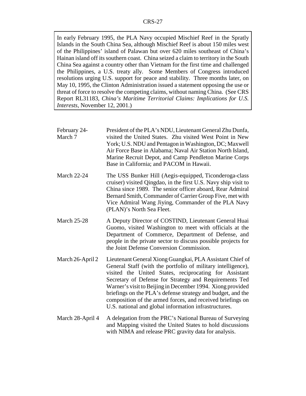In early February 1995, the PLA Navy occupied Mischief Reef in the Spratly Islands in the South China Sea, although Mischief Reef is about 150 miles west of the Philippines' island of Palawan but over 620 miles southeast of China's Hainan island off its southern coast. China seized a claim to territory in the South China Sea against a country other than Vietnam for the first time and challenged the Philippines, a U.S. treaty ally. Some Members of Congress introduced resolutions urging U.S. support for peace and stability. Three months later, on May 10, 1995, the Clinton Administration issued a statement opposing the use or threat of force to resolve the competing claims, without naming China. (See CRS Report RL31183, *China's Maritime Territorial Claims: Implications for U.S. Interests*, November 12, 2001.)

| February 24-<br>March 7 | President of the PLA's NDU, Lieutenant General Zhu Dunfa,<br>visited the United States. Zhu visited West Point in New<br>York; U.S. NDU and Pentagon in Washington, DC; Maxwell<br>Air Force Base in Alabama; Naval Air Station North Island,<br>Marine Recruit Depot, and Camp Pendleton Marine Corps<br>Base in California; and PACOM in Hawaii.                                                                                                                                                |
|-------------------------|---------------------------------------------------------------------------------------------------------------------------------------------------------------------------------------------------------------------------------------------------------------------------------------------------------------------------------------------------------------------------------------------------------------------------------------------------------------------------------------------------|
| <b>March 22-24</b>      | The USS Bunker Hill (Aegis-equipped, Ticonderoga-class<br>cruiser) visited Qingdao, in the first U.S. Navy ship visit to<br>China since 1989. The senior officer aboard, Rear Admiral<br>Bernard Smith, Commander of Carrier Group Five, met with<br>Vice Admiral Wang Jiying, Commander of the PLA Navy<br>(PLAN)'s North Sea Fleet.                                                                                                                                                             |
| <b>March 25-28</b>      | A Deputy Director of COSTIND, Lieutenant General Huai<br>Guomo, visited Washington to meet with officials at the<br>Department of Commerce, Department of Defense, and<br>people in the private sector to discuss possible projects for<br>the Joint Defense Conversion Commission.                                                                                                                                                                                                               |
| March 26-April 2        | Lieutenant General Xiong Guangkai, PLA Assistant Chief of<br>General Staff (with the portfolio of military intelligence),<br>visited the United States, reciprocating for Assistant<br>Secretary of Defense for Strategy and Requirements Ted<br>Warner's visit to Beijing in December 1994. Xiong provided<br>briefings on the PLA's defense strategy and budget, and the<br>composition of the armed forces, and received briefings on<br>U.S. national and global information infrastructures. |
| March 28-April 4        | A delegation from the PRC's National Bureau of Surveying<br>and Mapping visited the United States to hold discussions<br>with NIMA and release PRC gravity data for analysis.                                                                                                                                                                                                                                                                                                                     |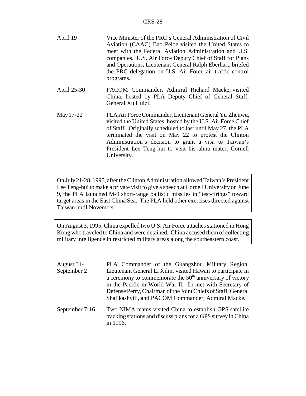| April 19    | Vice Minister of the PRC's General Administration of Civil<br>Aviation (CAAC) Bao Peide visited the United States to<br>meet with the Federal Aviation Administration and U.S.<br>companies. U.S. Air Force Deputy Chief of Staff for Plans<br>and Operations, Lieutenant General Ralph Eberhart, briefed<br>the PRC delegation on U.S. Air Force air traffic control<br>programs.  |
|-------------|-------------------------------------------------------------------------------------------------------------------------------------------------------------------------------------------------------------------------------------------------------------------------------------------------------------------------------------------------------------------------------------|
| April 25-30 | PACOM Commander, Admiral Richard Macke, visited<br>China, hosted by PLA Deputy Chief of General Staff,<br>General Xu Huizi.                                                                                                                                                                                                                                                         |
| May 17-22   | PLA Air Force Commander, Lieutenant General Yu Zhenwu,<br>visited the United States, hosted by the U.S. Air Force Chief<br>of Staff. Originally scheduled to last until May 27, the PLA<br>terminated the visit on May 22 to protest the Clinton<br>Administration's decision to grant a visa to Taiwan's<br>President Lee Teng-hui to visit his alma mater, Cornell<br>University. |

On July 21-28, 1995, after the Clinton Administration allowed Taiwan's President Lee Teng-hui to make a private visit to give a speech at Cornell University on June 9, the PLA launched M-9 short-range ballistic missiles in "test-firings" toward target areas in the East China Sea. The PLA held other exercises directed against Taiwan until November.

On August 3, 1995, China expelled two U.S. Air Force attaches stationed in Hong Kong who traveled to China and were detained. China accused them of collecting military intelligence in restricted military areas along the southeastern coast.

- August 31- September 2 PLA Commander of the Guangzhou Military Region, Lieutenant General Li Xilin, visited Hawaii to participate in a ceremony to commemorate the  $50<sup>th</sup>$  anniversary of victory in the Pacific in World War II. Li met with Secretary of Defense Perry, Chairman of the Joint Chiefs of Staff, General Shalikashvili, and PACOM Commander, Admiral Macke.
- September 7-16 Two NIMA teams visited China to establish GPS satellite tracking stations and discuss plans for a GPS survey in China in 1996.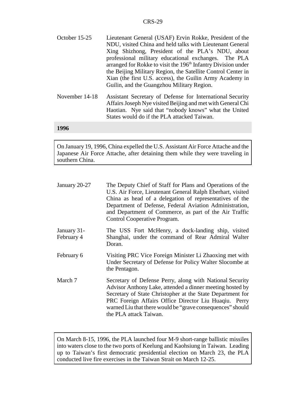| October 15-25 | Lieutenant General (USAF) Ervin Rokke, President of the                   |
|---------------|---------------------------------------------------------------------------|
|               | NDU, visited China and held talks with Lieutenant General                 |
|               | Xing Shizhong, President of the PLA's NDU, about                          |
|               | professional military educational exchanges. The PLA                      |
|               | arranged for Rokke to visit the 196 <sup>th</sup> Infantry Division under |
|               | the Beijing Military Region, the Satellite Control Center in              |
|               | Xian (the first U.S. access), the Guilin Army Academy in                  |
|               | Guilin, and the Guangzhou Military Region.                                |

November 14-18 Assistant Secretary of Defense for International Security Affairs Joseph Nye visited Beijing and met with General Chi Haotian. Nye said that "nobody knows" what the United States would do if the PLA attacked Taiwan.

#### **1996**

On January 19, 1996, China expelled the U.S. Assistant Air Force Attache and the Japanese Air Force Attache, after detaining them while they were traveling in southern China.

| January 20-27             | The Deputy Chief of Staff for Plans and Operations of the<br>U.S. Air Force, Lieutenant General Ralph Eberhart, visited<br>China as head of a delegation of representatives of the<br>Department of Defense, Federal Aviation Administration,<br>and Department of Commerce, as part of the Air Traffic<br>Control Cooperative Program. |
|---------------------------|-----------------------------------------------------------------------------------------------------------------------------------------------------------------------------------------------------------------------------------------------------------------------------------------------------------------------------------------|
| January 31-<br>February 4 | The USS Fort McHenry, a dock-landing ship, visited<br>Shanghai, under the command of Rear Admiral Walter<br>Doran.                                                                                                                                                                                                                      |
| February 6                | Visiting PRC Vice Foreign Minister Li Zhaoxing met with<br>Under Secretary of Defense for Policy Walter Slocombe at<br>the Pentagon.                                                                                                                                                                                                    |
| March 7                   | Secretary of Defense Perry, along with National Security<br>Advisor Anthony Lake, attended a dinner meeting hosted by<br>Secretary of State Christopher at the State Department for<br>PRC Foreign Affairs Office Director Liu Huaqiu. Perry<br>warned Liu that there would be "grave consequences" should<br>the PLA attack Taiwan.    |

On March 8-15, 1996, the PLA launched four M-9 short-range ballistic missiles into waters close to the two ports of Keelung and Kaohsiung in Taiwan. Leading up to Taiwan's first democratic presidential election on March 23, the PLA conducted live fire exercises in the Taiwan Strait on March 12-25.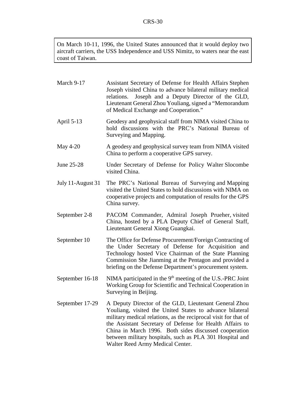On March 10-11, 1996, the United States announced that it would deploy two aircraft carriers, the USS Independence and USS Nimitz, to waters near the east coast of Taiwan.

| March 9-17        | Assistant Secretary of Defense for Health Affairs Stephen<br>Joseph visited China to advance bilateral military medical<br>Joseph and a Deputy Director of the GLD,<br>relations.<br>Lieutenant General Zhou Youliang, signed a "Memorandum<br>of Medical Exchange and Cooperation."                                                                                                                      |
|-------------------|-----------------------------------------------------------------------------------------------------------------------------------------------------------------------------------------------------------------------------------------------------------------------------------------------------------------------------------------------------------------------------------------------------------|
| April 5-13        | Geodesy and geophysical staff from NIMA visited China to<br>hold discussions with the PRC's National Bureau of<br>Surveying and Mapping.                                                                                                                                                                                                                                                                  |
| May 4-20          | A geodesy and geophysical survey team from NIMA visited<br>China to perform a cooperative GPS survey.                                                                                                                                                                                                                                                                                                     |
| June 25-28        | Under Secretary of Defense for Policy Walter Slocombe<br>visited China.                                                                                                                                                                                                                                                                                                                                   |
| July 11-August 31 | The PRC's National Bureau of Surveying and Mapping<br>visited the United States to hold discussions with NIMA on<br>cooperative projects and computation of results for the GPS<br>China survey.                                                                                                                                                                                                          |
| September 2-8     | PACOM Commander, Admiral Joseph Prueher, visited<br>China, hosted by a PLA Deputy Chief of General Staff,<br>Lieutenant General Xiong Guangkai.                                                                                                                                                                                                                                                           |
| September 10      | The Office for Defense Procurement/Foreign Contracting of<br>the Under Secretary of Defense for Acquisition and<br>Technology hosted Vice Chairman of the State Planning<br>Commission She Jianming at the Pentagon and provided a<br>briefing on the Defense Department's procurement system.                                                                                                            |
| September 16-18   | NIMA participated in the 9 <sup>th</sup> meeting of the U.S.-PRC Joint<br>Working Group for Scientific and Technical Cooperation in<br>Surveying in Beijing.                                                                                                                                                                                                                                              |
| September 17-29   | A Deputy Director of the GLD, Lieutenant General Zhou<br>Youliang, visited the United States to advance bilateral<br>military medical relations, as the reciprocal visit for that of<br>the Assistant Secretary of Defense for Health Affairs to<br>China in March 1996. Both sides discussed cooperation<br>between military hospitals, such as PLA 301 Hospital and<br>Walter Reed Army Medical Center. |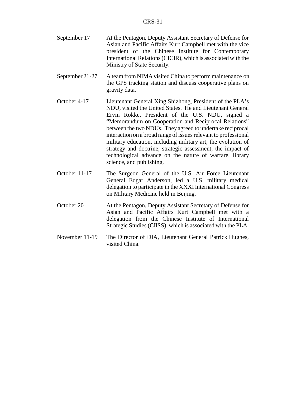- September 17 At the Pentagon, Deputy Assistant Secretary of Defense for Asian and Pacific Affairs Kurt Campbell met with the vice president of the Chinese Institute for Contemporary International Relations (CICIR), which is associated with the Ministry of State Security.
- September 21-27 A team from NIMA visited China to perform maintenance on the GPS tracking station and discuss cooperative plans on gravity data.
- October 4-17 Lieutenant General Xing Shizhong, President of the PLA's NDU, visited the United States. He and Lieutenant General Ervin Rokke, President of the U.S. NDU, signed a "Memorandum on Cooperation and Reciprocal Relations" between the two NDUs. They agreed to undertake reciprocal interaction on a broad range of issues relevant to professional military education, including military art, the evolution of strategy and doctrine, strategic assessment, the impact of technological advance on the nature of warfare, library science, and publishing.
- October 11-17 The Surgeon General of the U.S. Air Force, Lieutenant General Edgar Anderson, led a U.S. military medical delegation to participate in the XXXI International Congress on Military Medicine held in Beijing.
- October 20 At the Pentagon, Deputy Assistant Secretary of Defense for Asian and Pacific Affairs Kurt Campbell met with a delegation from the Chinese Institute of International Strategic Studies (CIISS), which is associated with the PLA.
- November 11-19 The Director of DIA, Lieutenant General Patrick Hughes, visited China.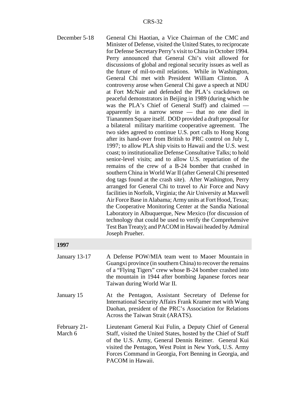| December 5-18           | General Chi Haotian, a Vice Chairman of the CMC and<br>Minister of Defense, visited the United States, to reciprocate<br>for Defense Secretary Perry's visit to China in October 1994.<br>Perry announced that General Chi's visit allowed for<br>discussions of global and regional security issues as well as<br>the future of mil-to-mil relations. While in Washington,<br>General Chi met with President William Clinton.<br>A<br>controversy arose when General Chi gave a speech at NDU<br>at Fort McNair and defended the PLA's crackdown on<br>peaceful demonstrators in Beijing in 1989 (during which he<br>was the PLA's Chief of General Staff) and claimed -<br>apparently in a narrow sense — that no one died in<br>Tiananmen Square itself. DOD provided a draft proposal for<br>a bilateral military maritime cooperative agreement. The<br>two sides agreed to continue U.S. port calls to Hong Kong<br>after its hand-over from British to PRC control on July 1,<br>1997; to allow PLA ship visits to Hawaii and the U.S. west<br>coast; to institutionalize Defense Consultative Talks; to hold<br>senior-level visits; and to allow U.S. repatriation of the<br>remains of the crew of a B-24 bomber that crashed in<br>southern China in World War II (after General Chi presented<br>dog tags found at the crash site). After Washington, Perry<br>arranged for General Chi to travel to Air Force and Navy<br>facilities in Norfolk, Virginia; the Air University at Maxwell<br>Air Force Base in Alabama; Army units at Fort Hood, Texas;<br>the Cooperative Monitoring Center at the Sandia National<br>Laboratory in Albuquerque, New Mexico (for discussion of<br>technology that could be used to verify the Comprehensive<br>Test Ban Treaty); and PACOM in Hawaii headed by Admiral<br>Joseph Prueher. |
|-------------------------|----------------------------------------------------------------------------------------------------------------------------------------------------------------------------------------------------------------------------------------------------------------------------------------------------------------------------------------------------------------------------------------------------------------------------------------------------------------------------------------------------------------------------------------------------------------------------------------------------------------------------------------------------------------------------------------------------------------------------------------------------------------------------------------------------------------------------------------------------------------------------------------------------------------------------------------------------------------------------------------------------------------------------------------------------------------------------------------------------------------------------------------------------------------------------------------------------------------------------------------------------------------------------------------------------------------------------------------------------------------------------------------------------------------------------------------------------------------------------------------------------------------------------------------------------------------------------------------------------------------------------------------------------------------------------------------------------------------------------------------------------------------------------------------------------------------------------------------|
| 1997                    |                                                                                                                                                                                                                                                                                                                                                                                                                                                                                                                                                                                                                                                                                                                                                                                                                                                                                                                                                                                                                                                                                                                                                                                                                                                                                                                                                                                                                                                                                                                                                                                                                                                                                                                                                                                                                                        |
| January 13-17           | A Defense POW/MIA team went to Maoer Mountain in<br>Guangxi province (in southern China) to recover the remains<br>of a "Flying Tigers" crew whose B-24 bomber crashed into<br>the mountain in 1944 after bombing Japanese forces near<br>Taiwan during World War II.                                                                                                                                                                                                                                                                                                                                                                                                                                                                                                                                                                                                                                                                                                                                                                                                                                                                                                                                                                                                                                                                                                                                                                                                                                                                                                                                                                                                                                                                                                                                                                  |
| January 15              | At the Pentagon, Assistant Secretary of Defense for<br>International Security Affairs Frank Kramer met with Wang<br>Daohan, president of the PRC's Association for Relations<br>Across the Taiwan Strait (ARATS).                                                                                                                                                                                                                                                                                                                                                                                                                                                                                                                                                                                                                                                                                                                                                                                                                                                                                                                                                                                                                                                                                                                                                                                                                                                                                                                                                                                                                                                                                                                                                                                                                      |
| February 21-<br>March 6 | Lieutenant General Kui Fulin, a Deputy Chief of General<br>Staff, visited the United States, hosted by the Chief of Staff<br>of the U.S. Army, General Dennis Reimer. General Kui                                                                                                                                                                                                                                                                                                                                                                                                                                                                                                                                                                                                                                                                                                                                                                                                                                                                                                                                                                                                                                                                                                                                                                                                                                                                                                                                                                                                                                                                                                                                                                                                                                                      |

visited the Pentagon, West Point in New York, U.S. Army Forces Command in Georgia, Fort Benning in Georgia, and

PACOM in Hawaii.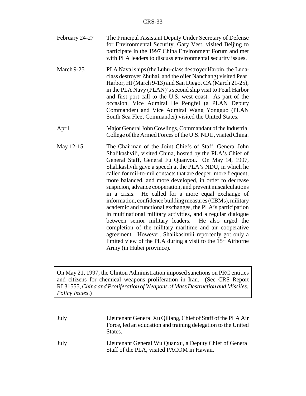| February 24-27 | The Principal Assistant Deputy Under Secretary of Defense  |
|----------------|------------------------------------------------------------|
|                | for Environmental Security, Gary Vest, visited Beijing to  |
|                | participate in the 1997 China Environment Forum and met    |
|                | with PLA leaders to discuss environmental security issues. |

March 9-25 PLA Naval ships (the Luhu-class destroyer Harbin, the Ludaclass destroyer Zhuhai, and the oiler Nanchang) visited Pearl Harbor, HI (March 9-13) and San Diego, CA (March 21-25), in the PLA Navy (PLAN)'s second ship visit to Pearl Harbor and first port call to the U.S. west coast. As part of the occasion, Vice Admiral He Pengfei (a PLAN Deputy Commander) and Vice Admiral Wang Yongguo (PLAN South Sea Fleet Commander) visited the United States.

- April Major General John Cowlings, Commandant of the Industrial College of the Armed Forces of the U.S. NDU, visited China.
- May 12-15 The Chairman of the Joint Chiefs of Staff, General John Shalikashvili, visited China, hosted by the PLA's Chief of General Staff, General Fu Quanyou. On May 14, 1997, Shalikashvili gave a speech at the PLA's NDU, in which he called for mil-to-mil contacts that are deeper, more frequent, more balanced, and more developed, in order to decrease suspicion, advance cooperation, and prevent miscalculations in a crisis. He called for a more equal exchange of information, confidence building measures (CBMs), military academic and functional exchanges, the PLA's participation in multinational military activities, and a regular dialogue between senior military leaders. He also urged the completion of the military maritime and air cooperative agreement. However, Shalikashvili reportedly got only a limited view of the PLA during a visit to the  $15<sup>th</sup>$  Airborne Army (in Hubei province).

On May 21, 1997, the Clinton Administration imposed sanctions on PRC entities and citizens for chemical weapons proliferation in Iran. (See CRS Report RL31555, *China and Proliferation of Weapons of Mass Destruction and Missiles: Policy Issues*.)

| July | Lieutenant General Xu Qiliang, Chief of Staff of the PLA Air<br>Force, led an education and training delegation to the United<br>States. |
|------|------------------------------------------------------------------------------------------------------------------------------------------|
| July | Lieutenant General Wu Quanxu, a Deputy Chief of General<br>Staff of the PLA, visited PACOM in Hawaii.                                    |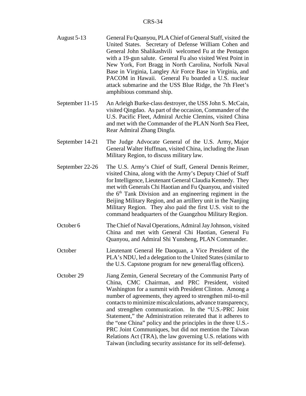- August 5-13 General Fu Quanyou, PLA Chief of General Staff, visited the United States. Secretary of Defense William Cohen and General John Shalikashvili welcomed Fu at the Pentagon with a 19-gun salute. General Fu also visited West Point in New York, Fort Bragg in North Carolina, Norfolk Naval Base in Virginia, Langley Air Force Base in Virginia, and PACOM in Hawaii. General Fu boarded a U.S. nuclear attack submarine and the USS Blue Ridge, the 7th Fleet's amphibious command ship.
- September 11-15 An Arleigh Burke-class destroyer, the USS John S. McCain, visited Qingdao. As part of the occasion, Commander of the U.S. Pacific Fleet, Admiral Archie Clemins, visited China and met with the Commander of the PLAN North Sea Fleet, Rear Admiral Zhang Dingfa.
- September 14-21 The Judge Advocate General of the U.S. Army, Major General Walter Huffman, visited China, including the Jinan Military Region, to discuss military law.
- September 22-26 The U.S. Army's Chief of Staff, General Dennis Reimer, visited China, along with the Army's Deputy Chief of Staff for Intelligence, Lieutenant General Claudia Kennedy. They met with Generals Chi Haotian and Fu Quanyou, and visited the  $6<sup>th</sup>$  Tank Division and an engineering regiment in the Beijing Military Region, and an artillery unit in the Nanjing Military Region. They also paid the first U.S. visit to the command headquarters of the Guangzhou Military Region.
- October 6 The Chief of Naval Operations, Admiral Jay Johnson, visited China and met with General Chi Haotian, General Fu Quanyou, and Admiral Shi Yunsheng, PLAN Commander.
- October Lieutenant General He Daoquan, a Vice President of the PLA's NDU, led a delegation to the United States (similar to the U.S. Capstone program for new general/flag officers).
- October 29 Jiang Zemin, General Secretary of the Communist Party of China, CMC Chairman, and PRC President, visited Washington for a summit with President Clinton. Among a number of agreements, they agreed to strengthen mil-to-mil contacts to minimize miscalculations, advance transparency, and strengthen communication. In the "U.S.-PRC Joint Statement," the Administration reiterated that it adheres to the "one China" policy and the principles in the three U.S.- PRC Joint Communiques, but did not mention the Taiwan Relations Act (TRA), the law governing U.S. relations with Taiwan (including security assistance for its self-defense).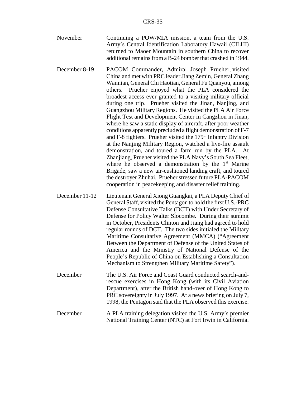- November Continuing a POW/MIA mission, a team from the U.S. Army's Central Identification Laboratory Hawaii (CILHI) returned to Maoer Mountain in southern China to recover additional remains from a B-24 bomber that crashed in 1944.
- December 8-19 PACOM Commander, Admiral Joseph Prueher, visited China and met with PRC leader Jiang Zemin, General Zhang Wannian, General Chi Haotian, General Fu Quanyou, among others. Prueher enjoyed what the PLA considered the broadest access ever granted to a visiting military official during one trip. Prueher visited the Jinan, Nanjing, and Guangzhou Military Regions. He visited the PLA Air Force Flight Test and Development Center in Cangzhou in Jinan, where he saw a static display of aircraft, after poor weather conditions apparently precluded a flight demonstration of F-7 and F-8 fighters. Prueher visited the 179<sup>th</sup> Infantry Division at the Nanjing Military Region, watched a live-fire assault demonstration, and toured a farm run by the PLA. At Zhanjiang, Prueher visited the PLA Navy's South Sea Fleet, where he observed a demonstration by the  $1<sup>st</sup>$  Marine Brigade, saw a new air-cushioned landing craft, and toured the destroyer Zhuhai. Prueher stressed future PLA-PACOM cooperation in peacekeeping and disaster relief training.
- December 11-12 Lieutenant General Xiong Guangkai, a PLA Deputy Chief of General Staff, visited the Pentagon to hold the first U.S.-PRC Defense Consultative Talks (DCT) with Under Secretary of Defense for Policy Walter Slocombe. During their summit in October, Presidents Clinton and Jiang had agreed to hold regular rounds of DCT. The two sides initialed the Military Maritime Consultative Agreement (MMCA) ("Agreement Between the Department of Defense of the United States of America and the Ministry of National Defense of the People's Republic of China on Establishing a Consultation Mechanism to Strengthen Military Maritime Safety").
- December The U.S. Air Force and Coast Guard conducted search-andrescue exercises in Hong Kong (with its Civil Aviation Department), after the British hand-over of Hong Kong to PRC sovereignty in July 1997. At a news briefing on July 7, 1998, the Pentagon said that the PLA observed this exercise.
- December A PLA training delegation visited the U.S. Army's premier National Training Center (NTC) at Fort Irwin in California.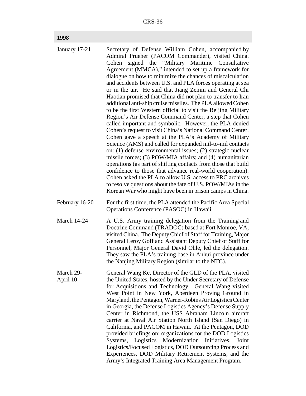## **1998**

| January 17-21         | Secretary of Defense William Cohen, accompanied by<br>Admiral Prueher (PACOM Commander), visited China.<br>signed the "Military Maritime Consultative<br>Cohen<br>Agreement (MMCA)," intended to set up a framework for<br>dialogue on how to minimize the chances of miscalculation<br>and accidents between U.S. and PLA forces operating at sea<br>or in the air. He said that Jiang Zemin and General Chi<br>Haotian promised that China did not plan to transfer to Iran<br>additional anti-ship cruise missiles. The PLA allowed Cohen<br>to be the first Western official to visit the Beijing Military<br>Region's Air Defense Command Center, a step that Cohen<br>called important and symbolic. However, the PLA denied<br>Cohen's request to visit China's National Command Center.<br>Cohen gave a speech at the PLA's Academy of Military<br>Science (AMS) and called for expanded mil-to-mil contacts<br>on: (1) defense environmental issues; (2) strategic nuclear<br>missile forces; (3) POW/MIA affairs; and (4) humanitarian<br>operations (as part of shifting contacts from those that build<br>confidence to those that advance real-world cooperation).<br>Cohen asked the PLA to allow U.S. access to PRC archives<br>to resolve questions about the fate of U.S. POW/MIAs in the<br>Korean War who might have been in prison camps in China. |
|-----------------------|------------------------------------------------------------------------------------------------------------------------------------------------------------------------------------------------------------------------------------------------------------------------------------------------------------------------------------------------------------------------------------------------------------------------------------------------------------------------------------------------------------------------------------------------------------------------------------------------------------------------------------------------------------------------------------------------------------------------------------------------------------------------------------------------------------------------------------------------------------------------------------------------------------------------------------------------------------------------------------------------------------------------------------------------------------------------------------------------------------------------------------------------------------------------------------------------------------------------------------------------------------------------------------------------------------------------------------------------------------------------|
| February 16-20        | For the first time, the PLA attended the Pacific Area Special<br>Operations Conference (PASOC) in Hawaii.                                                                                                                                                                                                                                                                                                                                                                                                                                                                                                                                                                                                                                                                                                                                                                                                                                                                                                                                                                                                                                                                                                                                                                                                                                                              |
| <b>March 14-24</b>    | A U.S. Army training delegation from the Training and<br>Doctrine Command (TRADOC) based at Fort Monroe, VA,<br>visited China. The Deputy Chief of Staff for Training, Major<br>General Leroy Goff and Assistant Deputy Chief of Staff for<br>Personnel, Major General David Ohle, led the delegation.<br>They saw the PLA's training base in Anhui province under<br>the Nanjing Military Region (similar to the NTC).                                                                                                                                                                                                                                                                                                                                                                                                                                                                                                                                                                                                                                                                                                                                                                                                                                                                                                                                                |
| March 29-<br>April 10 | General Wang Ke, Director of the GLD of the PLA, visited<br>the United States, hosted by the Under Secretary of Defense<br>for Acquisitions and Technology. General Wang visited<br>West Point in New York, Aberdeen Proving Ground in<br>Maryland, the Pentagon, Warner-Robins Air Logistics Center<br>in Georgia, the Defense Logistics Agency's Defense Supply<br>Center in Richmond, the USS Abraham Lincoln aircraft<br>carrier at Naval Air Station North Island (San Diego) in<br>California, and PACOM in Hawaii. At the Pentagon, DOD<br>provided briefings on: organizations for the DOD Logistics<br>Systems, Logistics Modernization Initiatives,<br>Joint<br>Logistics/Focused Logistics, DOD Outsourcing Process and<br>Experiences, DOD Military Retirement Systems, and the<br>Army's Integrated Training Area Management Program.                                                                                                                                                                                                                                                                                                                                                                                                                                                                                                                     |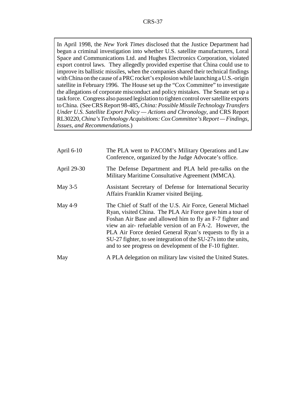In April 1998, the *New York Times* disclosed that the Justice Department had begun a criminal investigation into whether U.S. satellite manufacturers, Loral Space and Communications Ltd. and Hughes Electronics Corporation, violated export control laws. They allegedly provided expertise that China could use to improve its ballistic missiles, when the companies shared their technical findings with China on the cause of a PRC rocket's explosion while launching a U.S.-origin satellite in February 1996. The House set up the "Cox Committee" to investigate the allegations of corporate misconduct and policy mistakes. The Senate set up a task force. Congress also passed legislation to tighten control over satellite exports to China. (See CRS Report 98-485, *China: Possible Missile Technology Transfers Under U.S. Satellite Export Policy — Actions and Chronology*, and CRS Report RL30220, *China's Technology Acquisitions: Cox Committee's Report — Findings, Issues, and Recommendations*.)

| April 6-10  | The PLA went to PACOM's Military Operations and Law<br>Conference, organized by the Judge Advocate's office.                                                                                                                                                                                                                                                                                                                             |
|-------------|------------------------------------------------------------------------------------------------------------------------------------------------------------------------------------------------------------------------------------------------------------------------------------------------------------------------------------------------------------------------------------------------------------------------------------------|
| April 29-30 | The Defense Department and PLA held pre-talks on the<br>Military Maritime Consultative Agreement (MMCA).                                                                                                                                                                                                                                                                                                                                 |
| May $3-5$   | Assistant Secretary of Defense for International Security<br>Affairs Franklin Kramer visited Beijing.                                                                                                                                                                                                                                                                                                                                    |
| May 4-9     | The Chief of Staff of the U.S. Air Force, General Michael<br>Ryan, visited China. The PLA Air Force gave him a tour of<br>Foshan Air Base and allowed him to fly an F-7 fighter and<br>view an air-refuelable version of an FA-2. However, the<br>PLA Air Force denied General Ryan's requests to fly in a<br>SU-27 fighter, to see integration of the SU-27s into the units,<br>and to see progress on development of the F-10 fighter. |
| May         | A PLA delegation on military law visited the United States.                                                                                                                                                                                                                                                                                                                                                                              |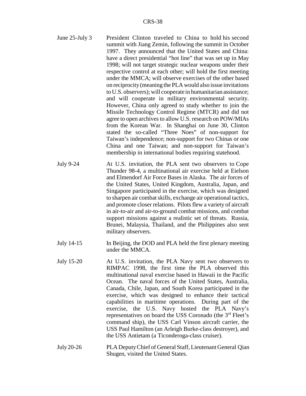| June 25-July 3    | President Clinton traveled to China to hold his second<br>summit with Jiang Zemin, following the summit in October<br>1997. They announced that the United States and China:<br>have a direct presidential "hot line" that was set up in May<br>1998; will not target strategic nuclear weapons under their<br>respective control at each other; will hold the first meeting<br>under the MMCA; will observe exercises of the other based<br>on reciprocity (meaning the PLA would also issue invitations<br>to U.S. observers); will cooperate in humanitarian assistance;<br>and will cooperate in military environmental security.<br>However, China only agreed to study whether to join the<br>Missile Technology Control Regime (MTCR) and did not<br>agree to open archives to allow U.S. research on POW/MIAs<br>from the Korean War. In Shanghai on June 30, Clinton<br>stated the so-called "Three Noes" of non-support for<br>Taiwan's independence; non-support for two Chinas or one<br>China and one Taiwan; and non-support for Taiwan's<br>membership in international bodies requiring statehood. |
|-------------------|--------------------------------------------------------------------------------------------------------------------------------------------------------------------------------------------------------------------------------------------------------------------------------------------------------------------------------------------------------------------------------------------------------------------------------------------------------------------------------------------------------------------------------------------------------------------------------------------------------------------------------------------------------------------------------------------------------------------------------------------------------------------------------------------------------------------------------------------------------------------------------------------------------------------------------------------------------------------------------------------------------------------------------------------------------------------------------------------------------------------|
| <b>July 9-24</b>  | At U.S. invitation, the PLA sent two observers to Cope<br>Thunder 98-4, a multinational air exercise held at Eielson<br>and Elmendorf Air Force Bases in Alaska. The air forces of<br>the United States, United Kingdom, Australia, Japan, and<br>Singapore participated in the exercise, which was designed<br>to sharpen air combat skills, exchange air operational tactics,<br>and promote closer relations. Pilots flew a variety of aircraft<br>in air-to-air and air-to-ground combat missions, and combat<br>support missions against a realistic set of threats. Russia,<br>Brunei, Malaysia, Thailand, and the Philippines also sent<br>military observers.                                                                                                                                                                                                                                                                                                                                                                                                                                              |
| July 14-15        | In Beijing, the DOD and PLA held the first plenary meeting<br>under the MMCA.                                                                                                                                                                                                                                                                                                                                                                                                                                                                                                                                                                                                                                                                                                                                                                                                                                                                                                                                                                                                                                      |
| <b>July 15-20</b> | At U.S. invitation, the PLA Navy sent two observers to<br>RIMPAC 1998, the first time the PLA observed this<br>multinational naval exercise based in Hawaii in the Pacific<br>The naval forces of the United States, Australia,<br>Ocean.<br>Canada, Chile, Japan, and South Korea participated in the<br>exercise, which was designed to enhance their tactical<br>capabilities in maritime operations. During part of the<br>U.S. Navy hosted<br>exercise,<br>the<br>the PLA Navy's                                                                                                                                                                                                                                                                                                                                                                                                                                                                                                                                                                                                                              |

representatives on board the USS Coronado (the 3<sup>rd</sup> Fleet's command ship), the USS Carl Vinson aircraft carrier, the USS Paul Hamilton (an Arleigh Burke-class destroyer), and the USS Antietam (a Ticonderoga-class cruiser).

July 20-26 PLA Deputy Chief of General Staff, Lieutenant General Qian Shugen, visited the United States.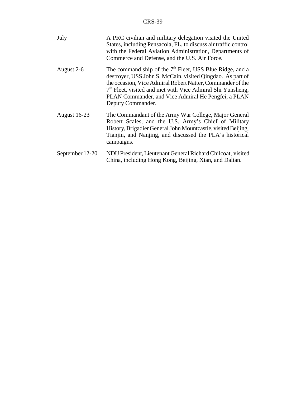| July                | A PRC civilian and military delegation visited the United<br>States, including Pensacola, FL, to discuss air traffic control<br>with the Federal Aviation Administration, Departments of<br>Commerce and Defense, and the U.S. Air Force.                                                                                                    |
|---------------------|----------------------------------------------------------------------------------------------------------------------------------------------------------------------------------------------------------------------------------------------------------------------------------------------------------------------------------------------|
| August 2-6          | The command ship of the $7th$ Fleet, USS Blue Ridge, and a<br>destroyer, USS John S. McCain, visited Qingdao. As part of<br>the occasion, Vice Admiral Robert Natter, Commander of the<br>7 <sup>th</sup> Fleet, visited and met with Vice Admiral Shi Yunsheng,<br>PLAN Commander, and Vice Admiral He Pengfei, a PLAN<br>Deputy Commander. |
| <b>August 16-23</b> | The Commandant of the Army War College, Major General<br>Robert Scales, and the U.S. Army's Chief of Military<br>History, Brigadier General John Mountcastle, visited Beijing,<br>Tianjin, and Nanjing, and discussed the PLA's historical<br>campaigns.                                                                                     |
| September 12-20     | NDU President, Lieutenant General Richard Chilcoat, visited<br>China, including Hong Kong, Beijing, Xian, and Dalian.                                                                                                                                                                                                                        |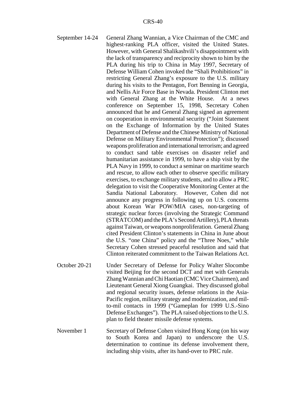- September 14-24 General Zhang Wannian, a Vice Chairman of the CMC and highest-ranking PLA officer, visited the United States. However, with General Shalikashvili's disappointment with the lack of transparency and reciprocity shown to him by the PLA during his trip to China in May 1997, Secretary of Defense William Cohen invoked the "Shali Prohibitions" in restricting General Zhang's exposure to the U.S. military during his visits to the Pentagon, Fort Benning in Georgia, and Nellis Air Force Base in Nevada. President Clinton met with General Zhang at the White House. At a news conference on September 15, 1998, Secretary Cohen announced that he and General Zhang signed an agreement on cooperation in environmental security ("Joint Statement on the Exchange of Information by the United States Department of Defense and the Chinese Ministry of National Defense on Military Environmental Protection"); discussed weapons proliferation and international terrorism; and agreed to conduct sand table exercises on disaster relief and humanitarian assistance in 1999, to have a ship visit by the PLA Navy in 1999, to conduct a seminar on maritime search and rescue, to allow each other to observe specific military exercises, to exchange military students, and to allow a PRC delegation to visit the Cooperative Monitoring Center at the Sandia National Laboratory. However, Cohen did not announce any progress in following up on U.S. concerns about Korean War POW/MIA cases, non-targeting of strategic nuclear forces (involving the Strategic Command (STRATCOM) and the PLA's Second Artillery), PLA threats against Taiwan, or weapons nonproliferation. General Zhang cited President Clinton's statements in China in June about the U.S. "one China" policy and the "Three Noes," while Secretary Cohen stressed peaceful resolution and said that Clinton reiterated commitment to the Taiwan Relations Act.
- October 20-21 Under Secretary of Defense for Policy Walter Slocombe visited Beijing for the second DCT and met with Generals Zhang Wannian and Chi Haotian (CMC Vice Chairmen), and Lieutenant General Xiong Guangkai. They discussed global and regional security issues, defense relations in the Asia-Pacific region, military strategy and modernization, and milto-mil contacts in 1999 ("Gameplan for 1999 U.S.-Sino Defense Exchanges"). The PLA raised objections to the U.S. plan to field theater missile defense systems.
- November 1 Secretary of Defense Cohen visited Hong Kong (on his way to South Korea and Japan) to underscore the U.S. determination to continue its defense involvement there, including ship visits, after its hand-over to PRC rule.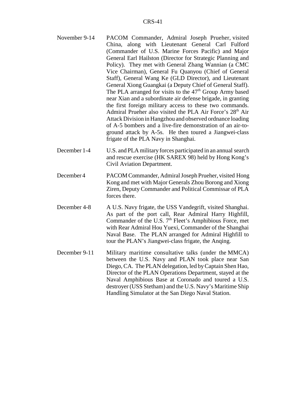- November 9-14 PACOM Commander, Admiral Joseph Prueher, visited China, along with Lieutenant General Carl Fulford (Commander of U.S. Marine Forces Pacific) and Major General Earl Hailston (Director for Strategic Planning and Policy). They met with General Zhang Wannian (a CMC Vice Chairman), General Fu Quanyou (Chief of General Staff), General Wang Ke (GLD Director), and Lieutenant General Xiong Guangkai (a Deputy Chief of General Staff). The PLA arranged for visits to the  $47<sup>th</sup>$  Group Army based near Xian and a subordinate air defense brigade, in granting the first foreign military access to these two commands. Admiral Prueher also visited the PLA Air Force's 28<sup>th</sup> Air Attack Division in Hangzhou and observed ordnance loading of A-5 bombers and a live-fire demonstration of an air-toground attack by A-5s. He then toured a Jiangwei-class frigate of the PLA Navy in Shanghai.
- December 1-4 U.S. and PLA military forces participated in an annual search and rescue exercise (HK SAREX 98) held by Hong Kong's Civil Aviation Department.
- December 4 PACOM Commander, Admiral Joseph Prueher, visited Hong Kong and met with Major Generals Zhou Borong and Xiong Ziren, Deputy Commander and Political Commissar of PLA forces there.
- December 4-8 A U.S. Navy frigate, the USS Vandegrift, visited Shanghai. As part of the port call, Rear Admiral Harry Highfill, Commander of the U.S.  $7<sup>th</sup>$  Fleet's Amphibious Force, met with Rear Admiral Hou Yuexi, Commander of the Shanghai Naval Base. The PLAN arranged for Admiral Highfill to tour the PLAN's Jiangwei-class frigate, the Anqing.
- December 9-11 Military maritime consultative talks (under the MMCA) between the U.S. Navy and PLAN took place near San Diego, CA. The PLAN delegation, led by Captain Shen Hao, Director of the PLAN Operations Department, stayed at the Naval Amphibious Base at Coronado and toured a U.S. destroyer (USS Stetham) and the U.S. Navy's Maritime Ship Handling Simulator at the San Diego Naval Station.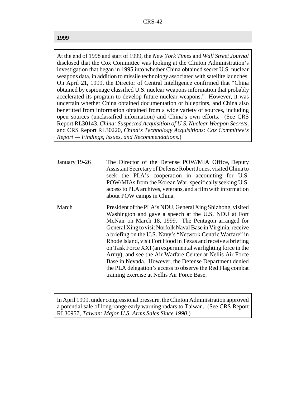#### **1999**

At the end of 1998 and start of 1999, the *New York Times* and *Wall Street Journal* disclosed that the Cox Committee was looking at the Clinton Administration's investigation that began in 1995 into whether China obtained secret U.S. nuclear weapons data, in addition to missile technology associated with satellite launches. On April 21, 1999, the Director of Central Intelligence confirmed that "China obtained by espionage classified U.S. nuclear weapons information that probably accelerated its program to develop future nuclear weapons." However, it was uncertain whether China obtained documentation or blueprints, and China also benefitted from information obtained from a wide variety of sources, including open sources (unclassified information) and China's own efforts. (See CRS Report RL30143, *China: Suspected Acquisition of U.S. Nuclear Weapon Secrets*, and CRS Report RL30220, *China's Technology Acquisitions: Cox Committee's Report — Findings, Issues, and Recommendations*.)

- January 19-26 The Director of the Defense POW/MIA Office, Deputy Assistant Secretary of Defense Robert Jones, visited China to seek the PLA's cooperation in accounting for U.S. POW/MIAs from the Korean War, specifically seeking U.S. access to PLA archives, veterans, and a film with information about POW camps in China.
- March President of the PLA's NDU, General Xing Shizhong, visited Washington and gave a speech at the U.S. NDU at Fort McNair on March 18, 1999. The Pentagon arranged for General Xing to visit Norfolk Naval Base in Virginia, receive a briefing on the U.S. Navy's "Network Centric Warfare" in Rhode Island, visit Fort Hood in Texas and receive a briefing on Task Force XXI (an experimental warfighting force in the Army), and see the Air Warfare Center at Nellis Air Force Base in Nevada. However, the Defense Department denied the PLA delegation's access to observe the Red Flag combat training exercise at Nellis Air Force Base.

In April 1999, under congressional pressure, the Clinton Administration approved a potential sale of long-range early warning radars to Taiwan. (See CRS Report RL30957, *Taiwan: Major U.S. Arms Sales Since 1990*.)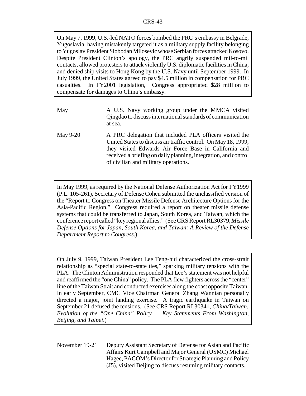On May 7, 1999, U.S.-led NATO forces bombed the PRC's embassy in Belgrade, Yugoslavia, having mistakenly targeted it as a military supply facility belonging to Yugoslav President Slobodan Milosevic whose Serbian forces attacked Kosovo. Despite President Clinton's apology, the PRC angrily suspended mil-to-mil contacts, allowed protesters to attack violently U.S. diplomatic facilities in China, and denied ship visits to Hong Kong by the U.S. Navy until September 1999. In July 1999, the United States agreed to pay \$4.5 million in compensation for PRC casualties. In FY2001 legislation, Congress appropriated \$28 million to compensate for damages to China's embassy.

- May **A** U.S. Navy working group under the MMCA visited Qingdao to discuss international standards of communication at sea.
- May 9-20 A PRC delegation that included PLA officers visited the United States to discuss air traffic control. On May 18, 1999, they visited Edwards Air Force Base in California and received a briefing on daily planning, integration, and control of civilian and military operations.

In May 1999, as required by the National Defense Authorization Act for FY1999 (P.L. 105-261), Secretary of Defense Cohen submitted the unclassified version of the "Report to Congress on Theater Missile Defense Architecture Options for the Asia-Pacific Region." Congress required a report on theater missile defense systems that could be transferred to Japan, South Korea, and Taiwan, which the conference report called "key regional allies." (See CRS Report RL30379, *Missile Defense Options for Japan, South Korea, and Taiwan: A Review of the Defense Department Report to Congress*.)

On July 9, 1999, Taiwan President Lee Teng-hui characterized the cross-strait relationship as "special state-to-state ties," sparking military tensions with the PLA. The Clinton Administration responded that Lee's statement was not helpful and reaffirmed the "one China" policy. The PLA flew fighters across the "center" line of the Taiwan Strait and conducted exercises along the coast opposite Taiwan. In early September, CMC Vice Chairman General Zhang Wannian personally directed a major, joint landing exercise. A tragic earthquake in Taiwan on September 21 defused the tensions. (See CRS Report RL30341, *China/Taiwan: Evolution of the "One China" Policy — Key Statements From Washington, Beijing, and Taipei*.)

November 19-21 Deputy Assistant Secretary of Defense for Asian and Pacific Affairs Kurt Campbell and Major General (USMC) Michael Hagee, PACOM's Director for Strategic Planning and Policy (J5), visited Beijing to discuss resuming military contacts.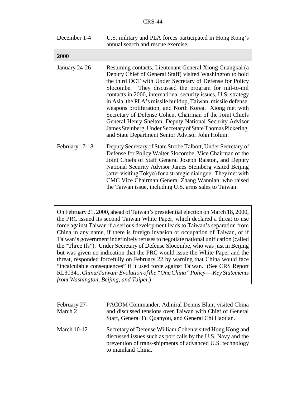| December 1-4 | U.S. military and PLA forces participated in Hong Kong's |
|--------------|----------------------------------------------------------|
|              | annual search and rescue exercise.                       |

**2000**

| 4VVV           |                                                                                                                                                                                                                                                                                                                                                                                                                                                                                                                                                                                                                                                                              |
|----------------|------------------------------------------------------------------------------------------------------------------------------------------------------------------------------------------------------------------------------------------------------------------------------------------------------------------------------------------------------------------------------------------------------------------------------------------------------------------------------------------------------------------------------------------------------------------------------------------------------------------------------------------------------------------------------|
| January 24-26  | Resuming contacts, Lieutenant General Xiong Guangkai (a<br>Deputy Chief of General Staff) visited Washington to hold<br>the third DCT with Under Secretary of Defense for Policy<br>Slocombe. They discussed the program for mil-to-mil<br>contacts in 2000, international security issues, U.S. strategy<br>in Asia, the PLA's missile buildup, Taiwan, missile defense,<br>weapons proliferation, and North Korea. Xiong met with<br>Secretary of Defense Cohen, Chairman of the Joint Chiefs<br>General Henry Shelton, Deputy National Security Advisor<br>James Steinberg, Under Secretary of State Thomas Pickering,<br>and State Department Senior Advisor John Holum. |
| February 17-18 | Deputy Secretary of State Strobe Talbott, Under Secretary of<br>Defense for Policy Walter Slocombe, Vice Chairman of the<br>Joint Chiefs of Staff General Joseph Ralston, and Deputy<br>National Security Advisor James Steinberg visited Beijing<br>(after visiting Tokyo) for a strategic dialogue. They met with<br>CMC Vice Chairman General Zhang Wannian, who raised<br>the Taiwan issue, including U.S. arms sales to Taiwan.                                                                                                                                                                                                                                         |

On February 21, 2000, ahead of Taiwan's presidential election on March 18, 2000, the PRC issued its second Taiwan White Paper, which declared a threat to use force against Taiwan if a serious development leads to Taiwan's separation from China in any name, if there is foreign invasion or occupation of Taiwan, or if Taiwan's government indefinitely refuses to negotiate national unification (called the "Three Ifs"). Under Secretary of Defense Slocombe, who was just in Beijing but was given no indication that the PRC would issue the White Paper and the threat, responded forcefully on February 22 by warning that China would face "incalculable consequences" if it used force against Taiwan. (See CRS Report RL30341, *China/Taiwan: Evolution of the "One China" Policy — Key Statements from Washington, Beijing, and Taipei*.)

| February 27-<br>March 2 | PACOM Commander, Admiral Dennis Blair, visited China<br>and discussed tensions over Taiwan with Chief of General<br>Staff, General Fu Quanyou, and General Chi Haotian.                                     |
|-------------------------|-------------------------------------------------------------------------------------------------------------------------------------------------------------------------------------------------------------|
| March $10-12$           | Secretary of Defense William Cohen visited Hong Kong and<br>discussed issues such as port calls by the U.S. Navy and the<br>prevention of trans-shipments of advanced U.S. technology<br>to mainland China. |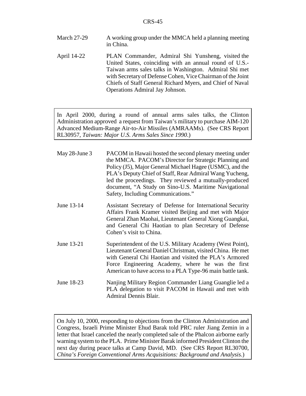- March 27-29 A working group under the MMCA held a planning meeting in China.
- April 14-22 PLAN Commander, Admiral Shi Yunsheng, visited the United States, coinciding with an annual round of U.S.- Taiwan arms sales talks in Washington. Admiral Shi met with Secretary of Defense Cohen, Vice Chairman of the Joint Chiefs of Staff General Richard Myers, and Chief of Naval Operations Admiral Jay Johnson.

In April 2000, during a round of annual arms sales talks, the Clinton Administration approved a request from Taiwan's military to purchase AIM-120 Advanced Medium-Range Air-to-Air Missiles (AMRAAMs). (See CRS Report RL30957, *Taiwan: Major U.S. Arms Sales Since 1990*.)

| May 28-June 3 | PACOM in Hawaii hosted the second plenary meeting under<br>the MMCA. PACOM's Director for Strategic Planning and<br>Policy (J5), Major General Michael Hagee (USMC), and the<br>PLA's Deputy Chief of Staff, Rear Admiral Wang Yucheng,<br>led the proceedings. They reviewed a mutually-produced<br>document, "A Study on Sino-U.S. Maritime Navigational<br>Safety, Including Communications." |
|---------------|--------------------------------------------------------------------------------------------------------------------------------------------------------------------------------------------------------------------------------------------------------------------------------------------------------------------------------------------------------------------------------------------------|
| June 13-14    | Assistant Secretary of Defense for International Security<br>Affairs Frank Kramer visited Beijing and met with Major<br>General Zhan Maohai, Lieutenant General Xiong Guangkai,<br>and General Chi Haotian to plan Secretary of Defense<br>Cohen's visit to China.                                                                                                                               |
| June 13-21    | Superintendent of the U.S. Military Academy (West Point),<br>Lieutenant General Daniel Christman, visited China. He met<br>with General Chi Haotian and visited the PLA's Armored<br>Force Engineering Academy, where he was the first<br>American to have access to a PLA Type-96 main battle tank.                                                                                             |
| June 18-23    | Nanjing Military Region Commander Liang Guanglie led a<br>PLA delegation to visit PACOM in Hawaii and met with<br><b>Admiral Dennis Blair.</b>                                                                                                                                                                                                                                                   |

On July 10, 2000, responding to objections from the Clinton Administration and Congress, Israeli Prime Minister Ehud Barak told PRC ruler Jiang Zemin in a letter that Israel canceled the nearly completed sale of the Phalcon airborne early warning system to the PLA. Prime Minister Barak informed President Clinton the next day during peace talks at Camp David, MD. (See CRS Report RL30700, *China's Foreign Conventional Arms Acquisitions: Background and Analysis*.)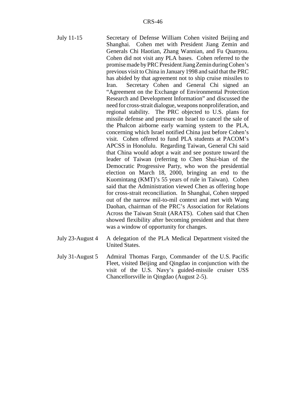- July 11-15 Secretary of Defense William Cohen visited Beijing and Shanghai. Cohen met with President Jiang Zemin and Generals Chi Haotian, Zhang Wannian, and Fu Quanyou. Cohen did not visit any PLA bases. Cohen referred to the promise made by PRC President Jiang Zemin during Cohen's previous visit to China in January 1998 and said that the PRC has abided by that agreement not to ship cruise missiles to Iran. Secretary Cohen and General Chi signed an "Agreement on the Exchange of Environmental Protection Research and Development Information" and discussed the need for cross-strait dialogue, weapons nonproliferation, and regional stability. The PRC objected to U.S. plans for missile defense and pressure on Israel to cancel the sale of the Phalcon airborne early warning system to the PLA, concerning which Israel notified China just before Cohen's visit. Cohen offered to fund PLA students at PACOM's APCSS in Honolulu. Regarding Taiwan, General Chi said that China would adopt a wait and see posture toward the leader of Taiwan (referring to Chen Shui-bian of the Democratic Progressive Party, who won the presidential election on March 18, 2000, bringing an end to the Kuomintang (KMT)'s 55 years of rule in Taiwan). Cohen said that the Administration viewed Chen as offering hope for cross-strait reconciliation. In Shanghai, Cohen stepped out of the narrow mil-to-mil context and met with Wang Daohan, chairman of the PRC's Association for Relations Across the Taiwan Strait (ARATS). Cohen said that Chen showed flexibility after becoming president and that there was a window of opportunity for changes.
- July 23-August 4 A delegation of the PLA Medical Department visited the United States.
- July 31-August 5 Admiral Thomas Fargo, Commander of the U.S. Pacific Fleet, visited Beijing and Qingdao in conjunction with the visit of the U.S. Navy's guided-missile cruiser USS Chancellorsville in Qingdao (August 2-5).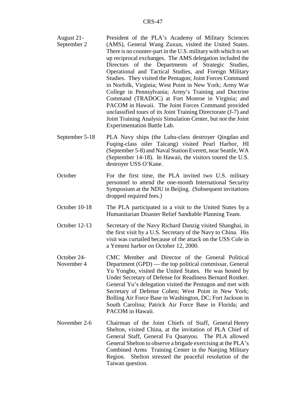- August 21- September 2 President of the PLA's Academy of Military Sciences (AMS), General Wang Zuxun, visited the United States. There is no counter-part in the U.S. military with which to set up reciprocal exchanges. The AMS delegation included the Directors of the Departments of Strategic Studies, Operational and Tactical Studies, and Foreign Military Studies. They visited the Pentagon; Joint Forces Command in Norfolk, Virginia; West Point in New York; Army War College in Pennsylvania; Army's Training and Doctrine Command (TRADOC) at Fort Monroe in Virginia; and PACOM in Hawaii. The Joint Forces Command provided unclassified tours of its Joint Training Directorate (J-7) and Joint Training Analysis Simulation Center, but not the Joint Experimentation Battle Lab.
- September 5-18 PLA Navy ships (the Luhu-class destroyer Qingdao and Fuqing-class oiler Taicang) visited Pearl Harbor, HI (September 5-8) and Naval Station Everett, near Seattle, WA (September 14-18). In Hawaii, the visitors toured the U.S. destroyer USS O'Kane.
- October For the first time, the PLA invited two U.S. military personnel to attend the one-month International Security Symposium at the NDU in Beijing. (Subsequent invitations dropped required fees.)
- October 10-18 The PLA participated in a visit to the United States by a Humanitarian Disaster Relief Sandtable Planning Team.
- October 12-13 Secretary of the Navy Richard Danzig visited Shanghai, in the first visit by a U.S. Secretary of the Navy to China. His visit was curtailed because of the attack on the USS Cole in a Yemeni harbor on October 12, 2000.
- October 24- November 4 CMC Member and Director of the General Political Department (GPD) — the top political commissar, General Yu Yongbo, visited the United States. He was hosted by Under Secretary of Defense for Readiness Bernard Rostker. General Yu's delegation visited the Pentagon and met with Secretary of Defense Cohen; West Point in New York; Bolling Air Force Base in Washington, DC; Fort Jackson in South Carolina; Patrick Air Force Base in Florida; and PACOM in Hawaii.
- November 2-6 Chairman of the Joint Chiefs of Staff, General Henry Shelton, visited China, at the invitation of PLA Chief of General Staff, General Fu Quanyou. The PLA allowed General Shelton to observe a brigade exercising at the PLA's Combined Arms Training Center in the Nanjing Military Region. Shelton stressed the peaceful resolution of the Taiwan question.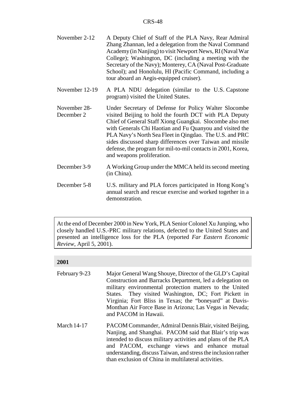- November 2-12 A Deputy Chief of Staff of the PLA Navy, Rear Admiral Zhang Zhannan, led a delegation from the Naval Command Academy (in Nanjing) to visit Newport News, RI (Naval War College); Washington, DC (including a meeting with the Secretary of the Navy); Monterey, CA (Naval Post-Graduate School); and Honolulu, HI (Pacific Command, including a tour aboard an Aegis-equipped cruiser).
- November 12-19 A PLA NDU delegation (similar to the U.S. Capstone program) visited the United States.
- November 28- December 2 Under Secretary of Defense for Policy Walter Slocombe visited Beijing to hold the fourth DCT with PLA Deputy Chief of General Staff Xiong Guangkai. Slocombe also met with Generals Chi Haotian and Fu Quanyou and visited the PLA Navy's North Sea Fleet in Qingdao. The U.S. and PRC sides discussed sharp differences over Taiwan and missile defense, the program for mil-to-mil contacts in 2001, Korea, and weapons proliferation.
- December 3-9 A Working Group under the MMCA held its second meeting (in China).
- December 5-8 U.S. military and PLA forces participated in Hong Kong's annual search and rescue exercise and worked together in a demonstration.

At the end of December 2000 in New York, PLA Senior Colonel Xu Junping, who closely handled U.S.-PRC military relations, defected to the United States and presented an intelligence loss for the PLA (reported *Far Eastern Economic Review*, April 5, 2001).

#### **2001**

- February 9-23 Major General Wang Shouye, Director of the GLD's Capital Construction and Barracks Department, led a delegation on military environmental protection matters to the United States. They visited Washington, DC; Fort Pickett in Virginia; Fort Bliss in Texas; the "boneyard" at Davis-Monthan Air Force Base in Arizona; Las Vegas in Nevada; and PACOM in Hawaii.
- March 14-17 PACOM Commander, Admiral Dennis Blair, visited Beijing, Nanjing, and Shanghai. PACOM said that Blair's trip was intended to discuss military activities and plans of the PLA and PACOM, exchange views and enhance mutual understanding, discuss Taiwan, and stress the inclusion rather than exclusion of China in multilateral activities.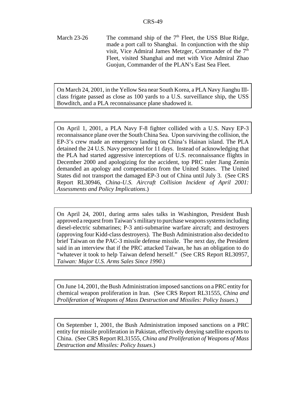March 23-26 The command ship of the  $7<sup>th</sup>$  Fleet, the USS Blue Ridge, made a port call to Shanghai. In conjunction with the ship visit, Vice Admiral James Metzger, Commander of the  $7<sup>th</sup>$ Fleet, visited Shanghai and met with Vice Admiral Zhao Guojun, Commander of the PLAN's East Sea Fleet.

On March 24, 2001, in the Yellow Sea near South Korea, a PLA Navy Jianghu IIIclass frigate passed as close as 100 yards to a U.S. surveillance ship, the USS Bowditch, and a PLA reconnaissance plane shadowed it.

On April 1, 2001, a PLA Navy F-8 fighter collided with a U.S. Navy EP-3 reconnaissance plane over the South China Sea. Upon surviving the collision, the EP-3's crew made an emergency landing on China's Hainan island. The PLA detained the 24 U.S. Navy personnel for 11 days. Instead of acknowledging that the PLA had started aggressive interceptions of U.S. reconnaissance flights in December 2000 and apologizing for the accident, top PRC ruler Jiang Zemin demanded an apology and compensation from the United States. The United States did not transport the damaged EP-3 out of China until July 3. (See CRS Report RL30946, *China-U.S. Aircraft Collision Incident of April 2001: Assessments and Policy Implications*.)

On April 24, 2001, during arms sales talks in Washington, President Bush approved a request from Taiwan's military to purchase weapons systems including diesel-electric submarines; P-3 anti-submarine warfare aircraft; and destroyers (approving four Kidd-class destroyers). The Bush Administration also decided to brief Taiwan on the PAC-3 missile defense missile. The next day, the President said in an interview that if the PRC attacked Taiwan, he has an obligation to do "whatever it took to help Taiwan defend herself." (See CRS Report RL30957, *Taiwan: Major U.S. Arms Sales Since 1990*.)

On June 14, 2001, the Bush Administration imposed sanctions on a PRC entity for chemical weapon proliferation in Iran. (See CRS Report RL31555, *China and Proliferation of Weapons of Mass Destruction and Missiles: Policy Issues*.)

On September 1, 2001, the Bush Administration imposed sanctions on a PRC entity for missile proliferation in Pakistan, effectively denying satellite exports to China. (See CRS Report RL31555, *China and Proliferation of Weapons of Mass Destruction and Missiles: Policy Issues*.)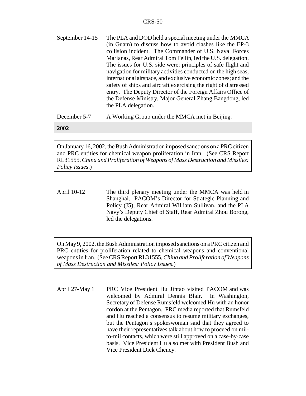September 14-15 The PLA and DOD held a special meeting under the MMCA (in Guam) to discuss how to avoid clashes like the EP-3 collision incident. The Commander of U.S. Naval Forces Marianas, Rear Admiral Tom Fellin, led the U.S. delegation. The issues for U.S. side were: principles of safe flight and navigation for military activities conducted on the high seas, international airspace, and exclusive economic zones; and the safety of ships and aircraft exercising the right of distressed entry. The Deputy Director of the Foreign Affairs Office of the Defense Ministry, Major General Zhang Bangdong, led the PLA delegation.

December 5-7 A Working Group under the MMCA met in Beijing.

#### **2002**

On January 16, 2002, the Bush Administration imposed sanctions on a PRC citizen and PRC entities for chemical weapon proliferation in Iran. (See CRS Report RL31555, *China and Proliferation of Weapons of Mass Destruction and Missiles: Policy Issues*.)

April 10-12 The third plenary meeting under the MMCA was held in Shanghai. PACOM's Director for Strategic Planning and Policy (J5), Rear Admiral William Sullivan, and the PLA Navy's Deputy Chief of Staff, Rear Admiral Zhou Borong, led the delegations.

On May 9, 2002, the Bush Administration imposed sanctions on a PRC citizen and PRC entities for proliferation related to chemical weapons and conventional weapons in Iran. (See CRS Report RL31555, *China and Proliferation of Weapons of Mass Destruction and Missiles: Policy Issues*.)

April 27-May 1 PRC Vice President Hu Jintao visited PACOM and was welcomed by Admiral Dennis Blair. In Washington, Secretary of Defense Rumsfeld welcomed Hu with an honor cordon at the Pentagon. PRC media reported that Rumsfeld and Hu reached a consensus to resume military exchanges, but the Pentagon's spokeswoman said that they agreed to have their representatives talk about how to proceed on milto-mil contacts, which were still approved on a case-by-case basis. Vice President Hu also met with President Bush and Vice President Dick Cheney.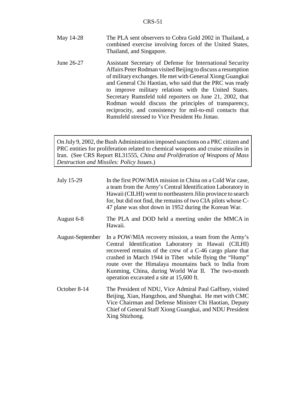- May 14-28 The PLA sent observers to Cobra Gold 2002 in Thailand, a combined exercise involving forces of the United States, Thailand, and Singapore.
- June 26-27 Assistant Secretary of Defense for International Security Affairs Peter Rodman visited Beijing to discuss a resumption of military exchanges. He met with General Xiong Guangkai and General Chi Haotian, who said that the PRC was ready to improve military relations with the United States. Secretary Rumsfeld told reporters on June 21, 2002, that Rodman would discuss the principles of transparency, reciprocity, and consistency for mil-to-mil contacts that Rumsfeld stressed to Vice President Hu Jintao.

On July 9, 2002, the Bush Administration imposed sanctions on a PRC citizen and PRC entities for proliferation related to chemical weapons and cruise missiles in Iran. (See CRS Report RL31555, *China and Proliferation of Weapons of Mass Destruction and Missiles: Policy Issues*.)

- July 15-29 In the first POW/MIA mission in China on a Cold War case, a team from the Army's Central Identification Laboratory in Hawaii (CILHI) went to northeastern Jilin province to search for, but did not find, the remains of two CIA pilots whose C-47 plane was shot down in 1952 during the Korean War.
- August 6-8 The PLA and DOD held a meeting under the MMCA in Hawaii.
- August-September In a POW/MIA recovery mission, a team from the Army's Central Identification Laboratory in Hawaii (CILHI) recovered remains of the crew of a C-46 cargo plane that crashed in March 1944 in Tibet while flying the "Hump" route over the Himalaya mountains back to India from Kunming, China, during World War II. The two-month operation excavated a site at 15,600 ft.
- October 8-14 The President of NDU, Vice Admiral Paul Gaffney, visited Beijing, Xian, Hangzhou, and Shanghai. He met with CMC Vice Chairman and Defense Minister Chi Haotian, Deputy Chief of General Staff Xiong Guangkai, and NDU President Xing Shizhong.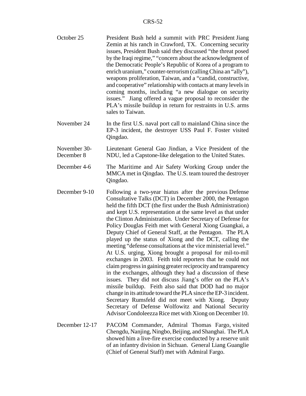- October 25 President Bush held a summit with PRC President Jiang Zemin at his ranch in Crawford, TX. Concerning security issues, President Bush said they discussed "the threat posed by the Iraqi regime," "concern about the acknowledgment of the Democratic People's Republic of Korea of a program to enrich uranium," counter-terrorism (calling China an "ally"), weapons proliferation, Taiwan, and a "candid, constructive, and cooperative" relationship with contacts at many levels in coming months, including "a new dialogue on security issues." Jiang offered a vague proposal to reconsider the PLA's missile buildup in return for restraints in U.S. arms sales to Taiwan.
- November 24 In the first U.S. naval port call to mainland China since the EP-3 incident, the destroyer USS Paul F. Foster visited Qingdao.
- November 30- December 8 Lieutenant General Gao Jindian, a Vice President of the NDU, led a Capstone-like delegation to the United States.
- December 4-6 The Maritime and Air Safety Working Group under the MMCA met in Qingdao. The U.S. team toured the destroyer Qingdao.
- December 9-10 Following a two-year hiatus after the previous Defense Consultative Talks (DCT) in December 2000, the Pentagon held the fifth DCT (the first under the Bush Administration) and kept U.S. representation at the same level as that under the Clinton Administration. Under Secretary of Defense for Policy Douglas Feith met with General Xiong Guangkai, a Deputy Chief of General Staff, at the Pentagon. The PLA played up the status of Xiong and the DCT, calling the meeting "defense consultations at the vice ministerial level." At U.S. urging, Xiong brought a proposal for mil-to-mil exchanges in 2003. Feith told reporters that he could not claim progress in gaining greater reciprocity and transparency in the exchanges, although they had a discussion of these issues. They did not discuss Jiang's offer on the PLA's missile buildup. Feith also said that DOD had no major change in its attitude toward the PLA since the EP-3 incident. Secretary Rumsfeld did not meet with Xiong. Deputy Secretary of Defense Wolfowitz and National Security Advisor Condoleezza Rice met with Xiong on December 10.
- December 12-17 PACOM Commander, Admiral Thomas Fargo, visited Chengdu, Nanjing, Ningbo, Beijing, and Shanghai. The PLA showed him a live-fire exercise conducted by a reserve unit of an infantry division in Sichuan. General Liang Guanglie (Chief of General Staff) met with Admiral Fargo.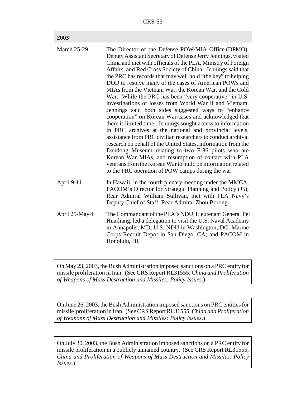| <b>March 25-29</b> | The Director of the Defense POW/MIA Office (DPMO),<br>Deputy Assistant Secretary of Defense Jerry Jennings, visited<br>China and met with officials of the PLA, Ministry of Foreign<br>Affairs, and Red Cross Society of China. Jennings said that<br>the PRC has records that may well hold "the key" to helping<br>DOD to resolve many of the cases of American POWs and<br>MIAs from the Vietnam War, the Korean War, and the Cold<br>War. While the PRC has been "very cooperative" in U.S.<br>investigations of losses from World War II and Vietnam,<br>Jennings said both sides suggested ways to "enhance<br>cooperation" on Korean War cases and acknowledged that<br>there is limited time. Jennings sought access to information<br>in PRC archives at the national and provincial levels,<br>assistance from PRC civilian researchers to conduct archival<br>research on behalf of the United States, information from the<br>Dandong Museum relating to two F-86 pilots who are<br>Korean War MIAs, and resumption of contact with PLA<br>veterans from the Korean War to build on information related |
|--------------------|---------------------------------------------------------------------------------------------------------------------------------------------------------------------------------------------------------------------------------------------------------------------------------------------------------------------------------------------------------------------------------------------------------------------------------------------------------------------------------------------------------------------------------------------------------------------------------------------------------------------------------------------------------------------------------------------------------------------------------------------------------------------------------------------------------------------------------------------------------------------------------------------------------------------------------------------------------------------------------------------------------------------------------------------------------------------------------------------------------------------|
|                    | to the PRC operation of POW camps during the war.                                                                                                                                                                                                                                                                                                                                                                                                                                                                                                                                                                                                                                                                                                                                                                                                                                                                                                                                                                                                                                                                   |
| April 9-11         | In Hawaii, in the fourth plenary meeting under the MMCA,<br>PACOM's Director for Strategic Planning and Policy (J5),<br>Rear Admiral William Sullivan, met with PLA Navy's<br>Deputy Chief of Staff, Rear Admiral Zhou Borong.                                                                                                                                                                                                                                                                                                                                                                                                                                                                                                                                                                                                                                                                                                                                                                                                                                                                                      |
| April 25-May 4     | The Commandant of the PLA's NDU, Lieutenant General Pei<br>Huailiang, led a delegation to visit the U.S. Naval Academy<br>in Annapolis, MD; U.S. NDU in Washington, DC; Marine<br>Corps Recruit Depot in San Diego, CA; and PACOM in<br>Honolulu, HI.                                                                                                                                                                                                                                                                                                                                                                                                                                                                                                                                                                                                                                                                                                                                                                                                                                                               |

On May 23, 2003, the Bush Administration imposed sanctions on a PRC entity for missile proliferation in Iran. (See CRS Report RL31555, *China and Proliferation of Weapons of Mass Destruction and Missiles: Policy Issues*.)

On June 26, 2003, the Bush Administration imposed sanctions on PRC entities for missile proliferation in Iran. (See CRS Report RL31555, *China and Proliferation of Weapons of Mass Destruction and Missiles: Policy Issues*.)

On July 30, 2003, the Bush Administration imposed sanctions on a PRC entity for missile proliferation in a publicly unnamed country. (See CRS Report RL31555, *China and Proliferation of Weapons of Mass Destruction and Missiles: Policy Issues*.)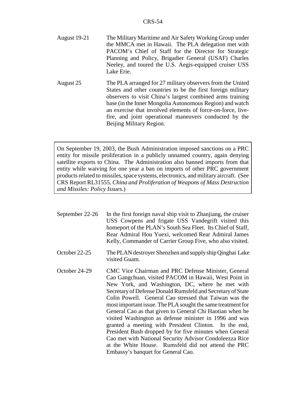| <b>August 19-21</b> | The Military Maritime and Air Safety Working Group under |
|---------------------|----------------------------------------------------------|
|                     | the MMCA met in Hawaii. The PLA delegation met with      |
|                     | PACOM's Chief of Staff for the Director for Strategic    |
|                     | Planning and Policy, Brigadier General (USAF) Charles    |
|                     | Neeley, and toured the U.S. Aegis-equipped cruiser USS   |
|                     | Lake Erie.                                               |
|                     |                                                          |

August 25 The PLA arranged for 27 military observers from the United States and other countries to be the first foreign military observers to visit China's largest combined arms training base (in the Inner Mongolia Autonomous Region) and watch an exercise that involved elements of force-on-force, livefire, and joint operational maneuvers conducted by the Beijing Military Region.

On September 19, 2003, the Bush Administration imposed sanctions on a PRC entity for missile proliferation in a publicly unnamed country, again denying satellite exports to China. The Administration also banned imports from that entity while waiving for one year a ban on imports of other PRC government products related to missiles, space systems, electronics, and military aircraft. (See CRS Report RL31555, *China and Proliferation of Weapons of Mass Destruction and Missiles: Policy Issues*.)

September 22-26 In the first foreign naval ship visit to Zhanjiang, the cruiser USS Cowpens and frigate USS Vandegrift visited this homeport of the PLAN's South Sea Fleet. Its Chief of Staff, Rear Admiral Hou Yuexi, welcomed Rear Admiral James Kelly, Commander of Carrier Group Five, who also visited. October 22-25 The PLAN destroyer Shenzhen and supply ship Qinghai Lake visited Guam. October 24-29 CMC Vice Chairman and PRC Defense Minister, General Cao Gangchuan, visited PACOM in Hawaii, West Point in New York, and Washington, DC, where he met with Secretary of Defense Donald Rumsfeld and Secretary of State Colin Powell. General Cao stressed that Taiwan was the most important issue. The PLA sought the same treatment for General Cao as that given to General Chi Haotian when he visited Washington as defense minister in 1996 and was granted a meeting with President Clinton. In the end, President Bush dropped by for five minutes when General Cao met with National Security Advisor Condoleezza Rice at the White House. Rumsfeld did not attend the PRC Embassy's banquet for General Cao.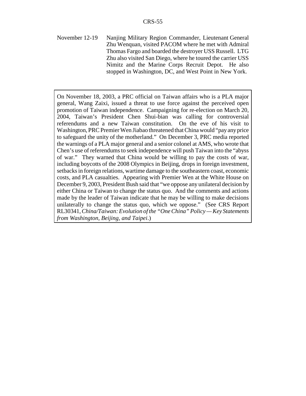November 12-19 Nanjing Military Region Commander, Lieutenant General Zhu Wenquan, visited PACOM where he met with Admiral Thomas Fargo and boarded the destroyer USS Russell. LTG Zhu also visited San Diego, where he toured the carrier USS Nimitz and the Marine Corps Recruit Depot. He also stopped in Washington, DC, and West Point in New York.

On November 18, 2003, a PRC official on Taiwan affairs who is a PLA major general, Wang Zaixi, issued a threat to use force against the perceived open promotion of Taiwan independence. Campaigning for re-election on March 20, 2004, Taiwan's President Chen Shui-bian was calling for controversial referendums and a new Taiwan constitution. On the eve of his visit to Washington, PRC Premier Wen Jiabao threatened that China would "pay any price to safeguard the unity of the motherland." On December 3, PRC media reported the warnings of a PLA major general and a senior colonel at AMS, who wrote that Chen's use of referendums to seek independence will push Taiwan into the "abyss of war." They warned that China would be willing to pay the costs of war, including boycotts of the 2008 Olympics in Beijing, drops in foreign investment, setbacks in foreign relations, wartime damage to the southeastern coast, economic costs, and PLA casualties. Appearing with Premier Wen at the White House on December 9, 2003, President Bush said that "we oppose any unilateral decision by either China or Taiwan to change the status quo. And the comments and actions made by the leader of Taiwan indicate that he may be willing to make decisions unilaterally to change the status quo, which we oppose." (See CRS Report RL30341, *China/Taiwan: Evolution of the "One China" Policy — Key Statements from Washington, Beijing, and Taipei*.)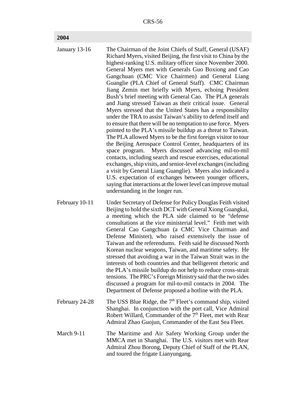#### **2004**

| January 13-16  | The Chairman of the Joint Chiefs of Staff, General (USAF)<br>Richard Myers, visited Beijing, the first visit to China by the<br>highest-ranking U.S. military officer since November 2000.<br>General Myers met with Generals Guo Boxiong and Cao<br>Gangchuan (CMC Vice Chairmen) and General Liang<br>Guanglie (PLA Chief of General Staff). CMC Chairman<br>Jiang Zemin met briefly with Myers, echoing President<br>Bush's brief meeting with General Cao. The PLA generals<br>and Jiang stressed Taiwan as their critical issue. General<br>Myers stressed that the United States has a responsibility<br>under the TRA to assist Taiwan's ability to defend itself and<br>to ensure that there will be no temptation to use force. Myers<br>pointed to the PLA's missile buildup as a threat to Taiwan.<br>The PLA allowed Myers to be the first foreign visitor to tour<br>the Beijing Aerospace Control Center, headquarters of its<br>Myers discussed advancing mil-to-mil<br>space program.<br>contacts, including search and rescue exercises, educational<br>exchanges, ship visits, and senior-level exchanges (including<br>a visit by General Liang Guanglie). Myers also indicated a<br>U.S. expectation of exchanges between younger officers,<br>saying that interactions at the lower level can improve mutual<br>understanding in the longer run. |
|----------------|-----------------------------------------------------------------------------------------------------------------------------------------------------------------------------------------------------------------------------------------------------------------------------------------------------------------------------------------------------------------------------------------------------------------------------------------------------------------------------------------------------------------------------------------------------------------------------------------------------------------------------------------------------------------------------------------------------------------------------------------------------------------------------------------------------------------------------------------------------------------------------------------------------------------------------------------------------------------------------------------------------------------------------------------------------------------------------------------------------------------------------------------------------------------------------------------------------------------------------------------------------------------------------------------------------------------------------------------------------------------------|
| February 10-11 | Under Secretary of Defense for Policy Douglas Feith visited<br>Beijing to hold the sixth DCT with General Xiong Guangkai,<br>a meeting which the PLA side claimed to be "defense<br>consultations at the vice ministerial level." Feith met with<br>General Cao Gangchuan (a CMC Vice Chairman and<br>Defense Minister), who raised extensively the issue of<br>Taiwan and the referendums. Feith said he discussed North<br>Korean nuclear weapons, Taiwan, and maritime safety. He<br>stressed that avoiding a war in the Taiwan Strait was in the<br>interests of both countries and that belligerent rhetoric and                                                                                                                                                                                                                                                                                                                                                                                                                                                                                                                                                                                                                                                                                                                                                 |

- the PLA's missile buildup do not help to reduce cross-strait tensions. The PRC's Foreign Ministry said that the two sides discussed a program for mil-to-mil contacts in 2004. The Department of Defense proposed a hotline with the PLA.
- February 24-28 The USS Blue Ridge, the  $7<sup>th</sup>$  Fleet's command ship, visited Shanghai. In conjunction with the port call, Vice Admiral Robert Willard, Commander of the 7<sup>th</sup> Fleet, met with Rear Admiral Zhao Guojun, Commander of the East Sea Fleet.
- March 9-11 The Maritime and Air Safety Working Group under the MMCA met in Shanghai. The U.S. visitors met with Rear Admiral Zhou Borong, Deputy Chief of Staff of the PLAN, and toured the frigate Lianyungang.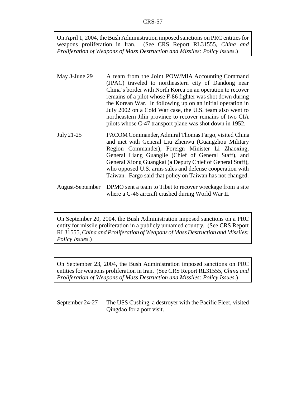On April 1, 2004, the Bush Administration imposed sanctions on PRC entities for weapons proliferation in Iran. (See CRS Report RL31555, *China and Proliferation of Weapons of Mass Destruction and Missiles: Policy Issues*.)

- May 3-June 29 A team from the Joint POW/MIA Accounting Command (JPAC) traveled to northeastern city of Dandong near China's border with North Korea on an operation to recover remains of a pilot whose F-86 fighter was shot down during the Korean War. In following up on an initial operation in July 2002 on a Cold War case, the U.S. team also went to northeastern Jilin province to recover remains of two CIA pilots whose C-47 transport plane was shot down in 1952.
- July 21-25 PACOM Commander, Admiral Thomas Fargo, visited China and met with General Liu Zhenwu (Guangzhou Military Region Commander), Foreign Minister Li Zhaoxing, General Liang Guanglie (Chief of General Staff), and General Xiong Guangkai (a Deputy Chief of General Staff), who opposed U.S. arms sales and defense cooperation with Taiwan. Fargo said that policy on Taiwan has not changed.
- August-September DPMO sent a team to Tibet to recover wreckage from a site where a C-46 aircraft crashed during World War II.

On September 20, 2004, the Bush Administration imposed sanctions on a PRC entity for missile proliferation in a publicly unnamed country. (See CRS Report RL31555, *China and Proliferation of Weapons of Mass Destruction and Missiles: Policy Issues*.)

On September 23, 2004, the Bush Administration imposed sanctions on PRC entities for weapons proliferation in Iran. (See CRS Report RL31555, *China and Proliferation of Weapons of Mass Destruction and Missiles: Policy Issues*.)

September 24-27 The USS Cushing, a destroyer with the Pacific Fleet, visited Qingdao for a port visit.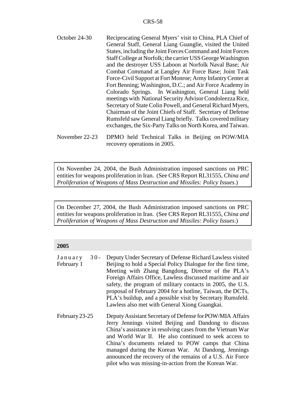- October 24-30 Reciprocating General Myers' visit to China, PLA Chief of General Staff, General Liang Guanglie, visited the United States, including the Joint Forces Command and Joint Forces Staff College at Norfolk; the carrier USS George Washington and the destroyer USS Laboon at Norfolk Naval Base; Air Combat Command at Langley Air Force Base; Joint Task Force-Civil Support at Fort Monroe; Army Infantry Center at Fort Benning; Washington, D.C.; and Air Force Academy in Colorado Springs. In Washington, General Liang held meetings with National Security Advisor Condoleezza Rice, Secretary of State Colin Powell, and General Richard Myers, Chairman of the Joint Chiefs of Staff. Secretary of Defense Rumsfeld saw General Liang briefly. Talks covered military exchanges, the Six-Party Talks on North Korea, and Taiwan.
- November 22-23 DPMO held Technical Talks in Beijing on POW/MIA recovery operations in 2005.

On November 24, 2004, the Bush Administration imposed sanctions on PRC entities for weapons proliferation in Iran. (See CRS Report RL31555, *China and Proliferation of Weapons of Mass Destruction and Missiles: Policy Issues*.)

On December 27, 2004, the Bush Administration imposed sanctions on PRC entities for weapons proliferation in Iran. (See CRS Report RL31555, *China and Proliferation of Weapons of Mass Destruction and Missiles: Policy Issues*.)

#### **2005**

| January<br>$30 -$ | Deputy Under Secretary of Defense Richard Lawless visited     |
|-------------------|---------------------------------------------------------------|
| February 1        | Beijing to hold a Special Policy Dialogue for the first time, |
|                   | Meeting with Zhang Bangdong, Director of the PLA's            |
|                   | Foreign Affairs Office, Lawless discussed maritime and air    |
|                   | safety, the program of military contacts in 2005, the U.S.    |
|                   | proposal of February 2004 for a hotline, Taiwan, the DCTs,    |
|                   | PLA's buildup, and a possible visit by Secretary Rumsfeld.    |
|                   | Lawless also met with General Xiong Guangkai.                 |
| February 23-25    | Deputy Assistant Secretary of Defense for POW/MIA Affairs     |
|                   | Jerry Jennings visited Beijing and Dandong to discuss         |
|                   | China's assistance in resolving cases from the Vietnam War    |
|                   | and World War II. He also continued to seek access to         |
|                   | China's documents related to POW camps that China             |
|                   | managed during the Korean War. At Dandong, Jennings           |
|                   | announced the recovery of the remains of a U.S. Air Force     |
|                   | pilot who was missing-in-action from the Korean War.          |